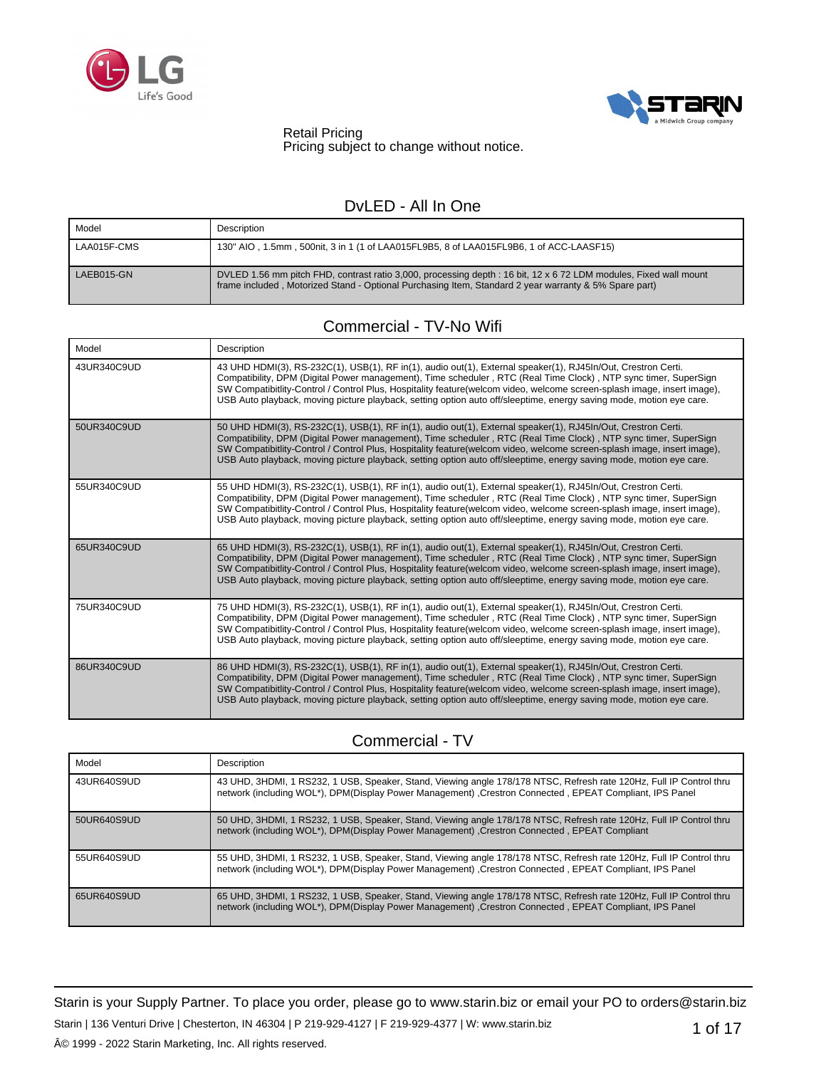



Retail Pricing Pricing subject to change without notice.

## DvLED - All In One

| Model       | Description                                                                                                                                                                                                                |
|-------------|----------------------------------------------------------------------------------------------------------------------------------------------------------------------------------------------------------------------------|
| LAA015F-CMS | 130" AIO, 1.5mm, 500nit, 3 in 1 (1 of LAA015FL9B5, 8 of LAA015FL9B6, 1 of ACC-LAASF15)                                                                                                                                     |
| LAEB015-GN  | DVLED 1.56 mm pitch FHD, contrast ratio 3,000, processing depth : 16 bit, 12 x 6 72 LDM modules, Fixed wall mount<br>frame included, Motorized Stand - Optional Purchasing Item, Standard 2 year warranty & 5% Spare part) |

## Commercial - TV-No Wifi

| Model       | Description                                                                                                                                                                                                                                                                                                                                                                                                                                                                       |
|-------------|-----------------------------------------------------------------------------------------------------------------------------------------------------------------------------------------------------------------------------------------------------------------------------------------------------------------------------------------------------------------------------------------------------------------------------------------------------------------------------------|
| 43UR340C9UD | 43 UHD HDMI(3), RS-232C(1), USB(1), RF in(1), audio out(1), External speaker(1), RJ45In/Out, Crestron Certi.<br>Compatibility, DPM (Digital Power management), Time scheduler, RTC (Real Time Clock), NTP sync timer, SuperSign<br>SW Compatibitlity-Control / Control Plus, Hospitality feature(welcom video, welcome screen-splash image, insert image),<br>USB Auto playback, moving picture playback, setting option auto off/sleeptime, energy saving mode, motion eye care. |
| 50UR340C9UD | 50 UHD HDMI(3), RS-232C(1), USB(1), RF in(1), audio out(1), External speaker(1), RJ45In/Out, Crestron Certi.<br>Compatibility, DPM (Digital Power management), Time scheduler, RTC (Real Time Clock), NTP sync timer, SuperSign<br>SW Compatibitlity-Control / Control Plus, Hospitality feature(welcom video, welcome screen-splash image, insert image),<br>USB Auto playback, moving picture playback, setting option auto off/sleeptime, energy saving mode, motion eye care. |
| 55UR340C9UD | 55 UHD HDMI(3), RS-232C(1), USB(1), RF in(1), audio out(1), External speaker(1), RJ45In/Out, Crestron Certi.<br>Compatibility, DPM (Digital Power management), Time scheduler, RTC (Real Time Clock), NTP sync timer, SuperSign<br>SW Compatibitlity-Control / Control Plus, Hospitality feature(welcom video, welcome screen-splash image, insert image),<br>USB Auto playback, moving picture playback, setting option auto off/sleeptime, energy saving mode, motion eye care. |
| 65UR340C9UD | 65 UHD HDMI(3), RS-232C(1), USB(1), RF in(1), audio out(1), External speaker(1), RJ45In/Out, Crestron Certi.<br>Compatibility, DPM (Digital Power management), Time scheduler, RTC (Real Time Clock), NTP sync timer, SuperSign<br>SW Compatibitlity-Control / Control Plus, Hospitality feature(welcom video, welcome screen-splash image, insert image),<br>USB Auto playback, moving picture playback, setting option auto off/sleeptime, energy saving mode, motion eye care. |
| 75UR340C9UD | 75 UHD HDMI(3), RS-232C(1), USB(1), RF in(1), audio out(1), External speaker(1), RJ45In/Out, Crestron Certi.<br>Compatibility, DPM (Digital Power management), Time scheduler, RTC (Real Time Clock), NTP sync timer, SuperSign<br>SW Compatibitlity-Control / Control Plus, Hospitality feature(welcom video, welcome screen-splash image, insert image),<br>USB Auto playback, moving picture playback, setting option auto off/sleeptime, energy saving mode, motion eye care. |
| 86UR340C9UD | 86 UHD HDMI(3), RS-232C(1), USB(1), RF in(1), audio out(1), External speaker(1), RJ45In/Out, Crestron Certi.<br>Compatibility, DPM (Digital Power management), Time scheduler, RTC (Real Time Clock), NTP sync timer, SuperSign<br>SW Compatibitlity-Control / Control Plus, Hospitality feature(welcom video, welcome screen-splash image, insert image),<br>USB Auto playback, moving picture playback, setting option auto off/sleeptime, energy saving mode, motion eye care. |

# Commercial - TV

| Model       | <b>Description</b>                                                                                                                                                                                                               |
|-------------|----------------------------------------------------------------------------------------------------------------------------------------------------------------------------------------------------------------------------------|
| 43UR640S9UD | 43 UHD, 3HDMI, 1 RS232, 1 USB, Speaker, Stand, Viewing angle 178/178 NTSC, Refresh rate 120Hz, Full IP Control thru<br>network (including WOL*), DPM(Display Power Management) , Crestron Connected , EPEAT Compliant, IPS Panel |
| 50UR640S9UD | 50 UHD, 3HDMI, 1 RS232, 1 USB, Speaker, Stand, Viewing angle 178/178 NTSC, Refresh rate 120Hz, Full IP Control thru<br>network (including WOL*), DPM(Display Power Management) , Crestron Connected , EPEAT Compliant            |
| 55UR640S9UD | 55 UHD, 3HDMI, 1 RS232, 1 USB, Speaker, Stand, Viewing angle 178/178 NTSC, Refresh rate 120Hz, Full IP Control thru<br>network (including WOL*), DPM(Display Power Management) , Crestron Connected , EPEAT Compliant, IPS Panel |
| 65UR640S9UD | 65 UHD, 3HDMI, 1 RS232, 1 USB, Speaker, Stand, Viewing angle 178/178 NTSC, Refresh rate 120Hz, Full IP Control thru<br>network (including WOL*), DPM(Display Power Management) , Crestron Connected , EPEAT Compliant, IPS Panel |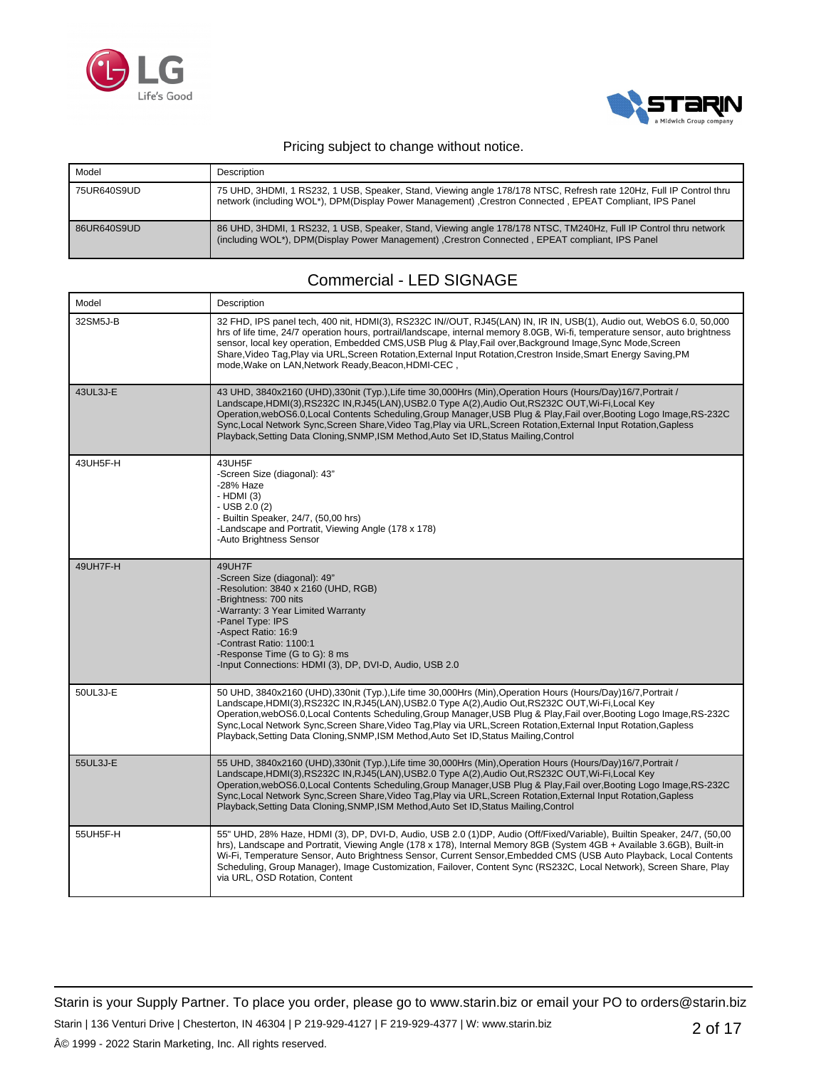



| Model       | Description                                                                                                                                                                                                                      |
|-------------|----------------------------------------------------------------------------------------------------------------------------------------------------------------------------------------------------------------------------------|
| 75UR640S9UD | 75 UHD, 3HDMI, 1 RS232, 1 USB, Speaker, Stand, Viewing angle 178/178 NTSC, Refresh rate 120Hz, Full IP Control thru<br>network (including WOL*), DPM(Display Power Management) , Crestron Connected , EPEAT Compliant, IPS Panel |
| 86UR640S9UD | 86 UHD, 3HDMI, 1 RS232, 1 USB, Speaker, Stand, Viewing angle 178/178 NTSC, TM240Hz, Full IP Control thru network<br>(including WOL*), DPM(Display Power Management) , Crestron Connected , EPEAT compliant, IPS Panel            |

### Commercial - LED SIGNAGE

| Model    | Description                                                                                                                                                                                                                                                                                                                                                                                                                                                                                                                                                 |
|----------|-------------------------------------------------------------------------------------------------------------------------------------------------------------------------------------------------------------------------------------------------------------------------------------------------------------------------------------------------------------------------------------------------------------------------------------------------------------------------------------------------------------------------------------------------------------|
| 32SM5J-B | 32 FHD, IPS panel tech, 400 nit, HDMI(3), RS232C IN//OUT, RJ45(LAN) IN, IR IN, USB(1), Audio out, WebOS 6.0, 50,000<br>hrs of life time, 24/7 operation hours, portrail/landscape, internal memory 8.0GB, Wi-fi, temperature sensor, auto brightness<br>sensor, local key operation, Embedded CMS,USB Plug & Play,Fail over,Background Image,Sync Mode,Screen<br>Share, Video Tag, Play via URL, Screen Rotation, External Input Rotation, Crestron Inside, Smart Energy Saving, PM<br>mode, Wake on LAN, Network Ready, Beacon, HDMI-CEC,                  |
| 43UL3J-E | 43 UHD, 3840x2160 (UHD),330nit (Typ.),Life time 30,000Hrs (Min),Operation Hours (Hours/Day)16/7,Portrait /<br>Landscape, HDMI(3), RS232C IN, RJ45(LAN), USB2.0 Type A(2), Audio Out, RS232C OUT, Wi-Fi, Local Key<br>Operation, webOS6.0, Local Contents Scheduling, Group Manager, USB Plug & Play, Fail over, Booting Logo Image, RS-232C<br>Sync, Local Network Sync, Screen Share, Video Tag, Play via URL, Screen Rotation, External Input Rotation, Gapless<br>Playback, Setting Data Cloning, SNMP, ISM Method, Auto Set ID, Status Mailing, Control |
| 43UH5F-H | 43UH5F<br>-Screen Size (diagonal): 43"<br>-28% Haze<br>$-HDMI(3)$<br>$-$ USB 2.0 (2)<br>- Builtin Speaker, 24/7, (50,00 hrs)<br>-Landscape and Portratit, Viewing Angle (178 x 178)<br>-Auto Brightness Sensor                                                                                                                                                                                                                                                                                                                                              |
| 49UH7F-H | 49UH7F<br>-Screen Size (diagonal): 49"<br>-Resolution: 3840 x 2160 (UHD, RGB)<br>-Brightness: 700 nits<br>-Warranty: 3 Year Limited Warranty<br>-Panel Type: IPS<br>-Aspect Ratio: 16:9<br>-Contrast Ratio: 1100:1<br>-Response Time (G to G): 8 ms<br>-Input Connections: HDMI (3), DP, DVI-D, Audio, USB 2.0                                                                                                                                                                                                                                              |
| 50UL3J-E | 50 UHD, 3840x2160 (UHD),330nit (Typ.),Life time 30,000Hrs (Min),Operation Hours (Hours/Day)16/7,Portrait /<br>Landscape, HDMI(3), RS232C IN, RJ45(LAN), USB2.0 Type A(2), Audio Out, RS232C OUT, Wi-Fi, Local Key<br>Operation, webOS6.0, Local Contents Scheduling, Group Manager, USB Plug & Play, Fail over, Booting Logo Image, RS-232C<br>Sync, Local Network Sync, Screen Share, Video Tag, Play via URL, Screen Rotation, External Input Rotation, Gapless<br>Playback, Setting Data Cloning, SNMP, ISM Method, Auto Set ID, Status Mailing, Control |
| 55UL3J-E | 55 UHD, 3840x2160 (UHD),330nit (Typ.),Life time 30,000Hrs (Min),Operation Hours (Hours/Day)16/7,Portrait /<br>Landscape,HDMI(3),RS232C IN,RJ45(LAN),USB2.0 Type A(2),Audio Out,RS232C OUT,Wi-Fi,Local Key<br>Operation, webOS6.0, Local Contents Scheduling, Group Manager, USB Plug & Play, Fail over, Booting Logo Image, RS-232C<br>Sync, Local Network Sync, Screen Share, Video Tag, Play via URL, Screen Rotation, External Input Rotation, Gapless<br>Playback, Setting Data Cloning, SNMP, ISM Method, Auto Set ID, Status Mailing, Control         |
| 55UH5F-H | 55" UHD, 28% Haze, HDMI (3), DP, DVI-D, Audio, USB 2.0 (1)DP, Audio (Off/Fixed/Variable), Builtin Speaker, 24/7, (50,00<br>hrs), Landscape and Portratit, Viewing Angle (178 x 178), Internal Memory 8GB (System 4GB + Available 3.6GB), Built-in<br>Wi-Fi, Temperature Sensor, Auto Brightness Sensor, Current Sensor, Embedded CMS (USB Auto Playback, Local Contents<br>Scheduling, Group Manager), Image Customization, Failover, Content Sync (RS232C, Local Network), Screen Share, Play<br>via URL, OSD Rotation, Content                            |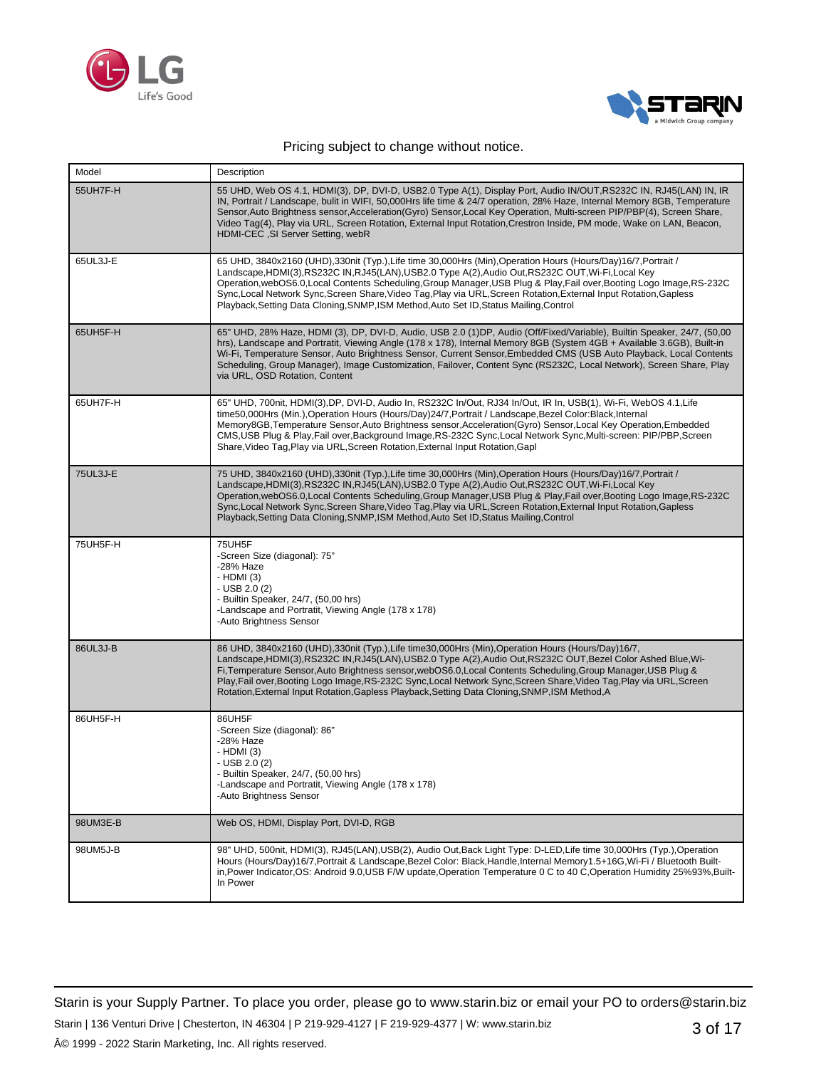



| Model    | Description                                                                                                                                                                                                                                                                                                                                                                                                                                                                                                                                                         |
|----------|---------------------------------------------------------------------------------------------------------------------------------------------------------------------------------------------------------------------------------------------------------------------------------------------------------------------------------------------------------------------------------------------------------------------------------------------------------------------------------------------------------------------------------------------------------------------|
| 55UH7F-H | 55 UHD, Web OS 4.1, HDMI(3), DP, DVI-D, USB2.0 Type A(1), Display Port, Audio IN/OUT,RS232C IN, RJ45(LAN) IN, IR<br>IN, Portrait / Landscape, bulit in WIFI, 50,000Hrs life time & 24/7 operation, 28% Haze, Internal Memory 8GB, Temperature<br>Sensor, Auto Brightness sensor, Acceleration (Gyro) Sensor, Local Key Operation, Multi-screen PIP/PBP(4), Screen Share,<br>Video Tag(4), Play via URL, Screen Rotation, External Input Rotation, Crestron Inside, PM mode, Wake on LAN, Beacon,<br>HDMI-CEC, SI Server Setting, webR                               |
| 65UL3J-E | 65 UHD, 3840x2160 (UHD), 330nit (Typ.), Life time 30,000Hrs (Min), Operation Hours (Hours/Day) 16/7, Portrait /<br>Landscape, HDMI(3), RS232C IN, RJ45(LAN), USB2.0 Type A(2), Audio Out, RS232C OUT, Wi-Fi, Local Key<br>Operation, webOS6.0, Local Contents Scheduling, Group Manager, USB Plug & Play, Fail over, Booting Logo Image, RS-232C<br>Sync, Local Network Sync, Screen Share, Video Tag, Play via URL, Screen Rotation, External Input Rotation, Gapless<br>Playback, Setting Data Cloning, SNMP, ISM Method, Auto Set ID, Status Mailing, Control    |
| 65UH5F-H | 65" UHD, 28% Haze, HDMI (3), DP, DVI-D, Audio, USB 2.0 (1)DP, Audio (Off/Fixed/Variable), Builtin Speaker, 24/7, (50,00<br>hrs), Landscape and Portratit, Viewing Angle (178 x 178), Internal Memory 8GB (System 4GB + Available 3.6GB), Built-in<br>Wi-Fi, Temperature Sensor, Auto Brightness Sensor, Current Sensor, Embedded CMS (USB Auto Playback, Local Contents<br>Scheduling, Group Manager), Image Customization, Failover, Content Sync (RS232C, Local Network), Screen Share, Play<br>via URL, OSD Rotation, Content                                    |
| 65UH7F-H | 65" UHD, 700nit, HDMI(3),DP, DVI-D, Audio In, RS232C In/Out, RJ34 In/Out, IR In, USB(1), Wi-Fi, WebOS 4.1,Life<br>time50,000Hrs (Min.),Operation Hours (Hours/Day)24/7,Portrait / Landscape,Bezel Color:Black,Internal<br>Memory8GB, Temperature Sensor, Auto Brightness sensor, Acceleration (Gyro) Sensor, Local Key Operation, Embedded<br>CMS, USB Plug & Play, Fail over, Background Image, RS-232C Sync, Local Network Sync, Multi-screen: PIP/PBP, Screen<br>Share, Video Tag, Play via URL, Screen Rotation, External Input Rotation, Gapl                  |
| 75UL3J-E | 75 UHD, 3840x2160 (UHD), 330nit (Typ.), Life time 30,000Hrs (Min), Operation Hours (Hours/Day) 16/7, Portrait /<br>Landscape, HDMI(3), RS232C IN, RJ45(LAN), USB2.0 Type A(2), Audio Out, RS232C OUT, Wi-Fi, Local Key<br>Operation, webOS6.0, Local Contents Scheduling, Group Manager, USB Plug & Play, Fail over, Booting Logo Image, RS-232C<br>Sync, Local Network Sync, Screen Share, Video Tag, Play via URL, Screen Rotation, External Input Rotation, Gapless<br>Playback, Setting Data Cloning, SNMP, ISM Method, Auto Set ID, Status Mailing, Control    |
| 75UH5F-H | 75UH5F<br>-Screen Size (diagonal): 75"<br>-28% Haze<br>- HDMI (3)<br>$-$ USB 2.0 (2)<br>- Builtin Speaker, 24/7, (50,00 hrs)<br>-Landscape and Portratit, Viewing Angle (178 x 178)<br>-Auto Brightness Sensor                                                                                                                                                                                                                                                                                                                                                      |
| 86UL3J-B | 86 UHD, 3840x2160 (UHD), 330nit (Typ.), Life time 30,000 Hrs (Min), Operation Hours (Hours/Day) 16/7,<br>Landscape, HDMI(3), RS232C IN, RJ45(LAN), USB2.0 Type A(2), Audio Out, RS232C OUT, Bezel Color Ashed Blue, Wi-<br>Fi, Temperature Sensor, Auto Brightness sensor, webOS6.0, Local Contents Scheduling, Group Manager, USB Plug &<br>Play, Fail over, Booting Logo Image, RS-232C Sync, Local Network Sync, Screen Share, Video Tag, Play via URL, Screen<br>Rotation, External Input Rotation, Gapless Playback, Setting Data Cloning, SNMP, ISM Method, A |
| 86UH5F-H | 86UH5F<br>-Screen Size (diagonal): 86"<br>-28% Haze<br>- HDMI (3)<br>$-$ USB 2.0 (2)<br>Builtin Speaker, 24/7, (50,00 hrs)<br>-Landscape and Portratit, Viewing Angle (178 x 178)<br>-Auto Brightness Sensor                                                                                                                                                                                                                                                                                                                                                        |
| 98UM3E-B | Web OS, HDMI, Display Port, DVI-D, RGB                                                                                                                                                                                                                                                                                                                                                                                                                                                                                                                              |
| 98UM5J-B | 98" UHD, 500nit, HDMI(3), RJ45(LAN),USB(2), Audio Out,Back Light Type: D-LED,Life time 30,000Hrs (Typ.),Operation<br>Hours (Hours/Day)16/7, Portrait & Landscape, Bezel Color: Black, Handle, Internal Memory1.5+16G, Wi-Fi / Bluetooth Built-<br>in, Power Indicator, OS: Android 9.0, USB F/W update, Operation Temperature 0 C to 40 C, Operation Humidity 25%93%, Built-<br>In Power                                                                                                                                                                            |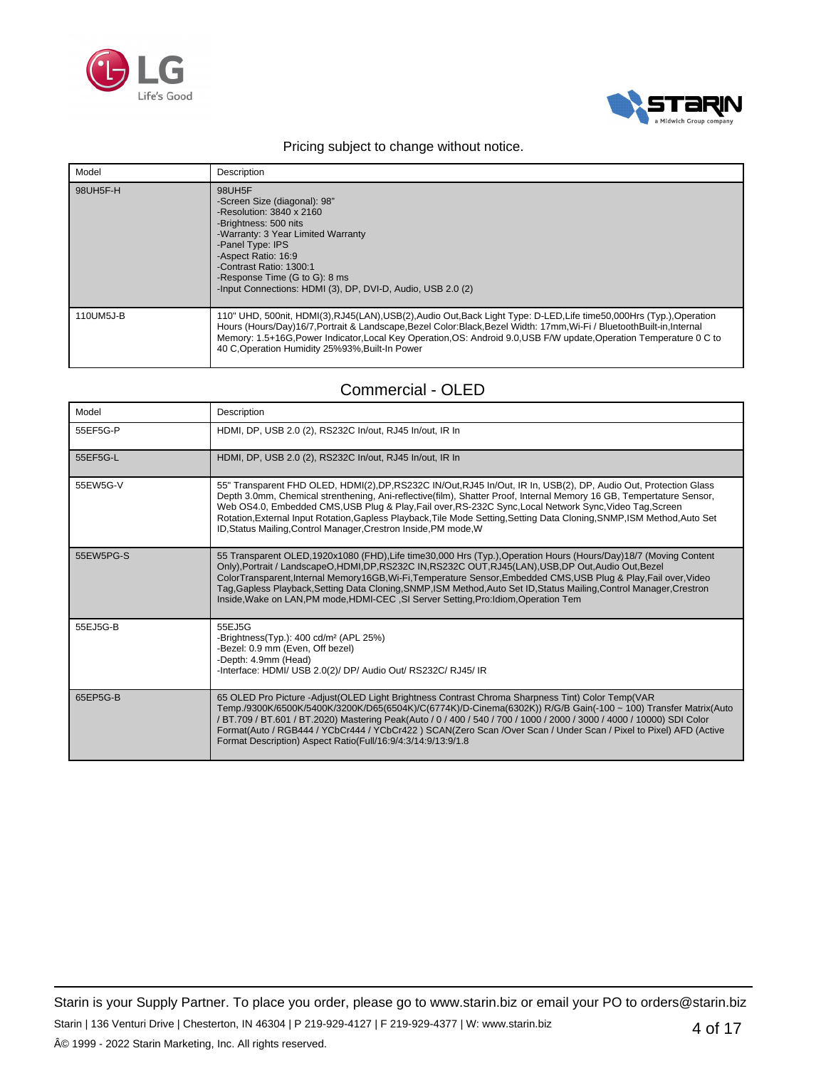



| Model     | Description                                                                                                                                                                                                                                                                                                                                                                                                            |
|-----------|------------------------------------------------------------------------------------------------------------------------------------------------------------------------------------------------------------------------------------------------------------------------------------------------------------------------------------------------------------------------------------------------------------------------|
| 98UH5F-H  | 98UH5F<br>-Screen Size (diagonal): 98"<br>-Resolution: $3840 \times 2160$<br>-Brightness: 500 nits<br>-Warranty: 3 Year Limited Warranty<br>-Panel Type: IPS<br>-Aspect Ratio: 16:9<br>-Contrast Ratio: 1300:1<br>-Response Time (G to G): 8 ms<br>-Input Connections: HDMI (3), DP, DVI-D, Audio, USB 2.0 (2)                                                                                                         |
| 110UM5J-B | 110" UHD, 500nit, HDMI(3),RJ45(LAN),USB(2),Audio Out,Back Light Type: D-LED,Life time50,000Hrs (Typ.),Operation<br>Hours (Hours/Day)16/7, Portrait & Landscape, Bezel Color: Black, Bezel Width: 17mm, Wi-Fi / Bluetooth Built-in, Internal<br>Memory: 1.5+16G, Power Indicator, Local Key Operation, OS: Android 9.0, USB F/W update, Operation Temperature 0 C to<br>40 C, Operation Humidity 25%93%, Built-In Power |

## Commercial - OLED

| Model     | Description                                                                                                                                                                                                                                                                                                                                                                                                                                                                                                                                                          |
|-----------|----------------------------------------------------------------------------------------------------------------------------------------------------------------------------------------------------------------------------------------------------------------------------------------------------------------------------------------------------------------------------------------------------------------------------------------------------------------------------------------------------------------------------------------------------------------------|
| 55EF5G-P  | HDMI, DP, USB 2.0 (2), RS232C In/out, RJ45 In/out, IR In                                                                                                                                                                                                                                                                                                                                                                                                                                                                                                             |
| 55EF5G-L  | HDMI, DP, USB 2.0 (2), RS232C In/out, RJ45 In/out, IR In                                                                                                                                                                                                                                                                                                                                                                                                                                                                                                             |
| 55EW5G-V  | 55" Transparent FHD OLED, HDMI(2),DP,RS232C IN/Out,RJ45 In/Out, IR In, USB(2), DP, Audio Out, Protection Glass<br>Depth 3.0mm, Chemical strenthening, Ani-reflective(film), Shatter Proof, Internal Memory 16 GB, Tempertature Sensor,<br>Web OS4.0, Embedded CMS, USB Plug & Play, Fail over, RS-232C Sync, Local Network Sync, Video Tag, Screen<br>Rotation, External Input Rotation, Gapless Playback, Tile Mode Setting, Setting Data Cloning, SNMP, ISM Method, Auto Set<br>ID, Status Mailing, Control Manager, Crestron Inside, PM mode, W                   |
| 55EW5PG-S | 55 Transparent OLED, 1920x1080 (FHD), Life time 30,000 Hrs (Typ.), Operation Hours (Hours/Day) 18/7 (Moving Content<br>Only), Portrait / LandscapeO, HDMI, DP, RS232C IN, RS232C OUT, RJ45(LAN), USB, DP Out, Audio Out, Bezel<br>ColorTransparent, Internal Memory16GB, Wi-Fi, Temperature Sensor, Embedded CMS, USB Plug & Play, Fail over, Video<br>Tag, Gapless Playback, Setting Data Cloning, SNMP, ISM Method, Auto Set ID, Status Mailing, Control Manager, Crestron<br>Inside, Wake on LAN, PM mode, HDMI-CEC, SI Server Setting, Pro: Idiom, Operation Tem |
| 55EJ5G-B  | 55EJ5G<br>-Brightness(Typ.): $400 \text{ cd/m}^2$ (APL 25%)<br>-Bezel: 0.9 mm (Even, Off bezel)<br>-Depth: 4.9mm (Head)<br>-Interface: HDMI/ USB 2.0(2)/ DP/ Audio Out/ RS232C/ RJ45/ IR                                                                                                                                                                                                                                                                                                                                                                             |
| 65EP5G-B  | 65 OLED Pro Picture - Adjust (OLED Light Brightness Contrast Chroma Sharpness Tint) Color Temp (VAR<br>Temp./9300K/6500K/5400K/3200K/D65(6504K)/C(6774K)/D-Cinema(6302K)) R/G/B Gain(-100 ~ 100) Transfer Matrix(Auto<br>/ BT.709 / BT.601 / BT.2020) Mastering Peak(Auto / 0 / 400 / 540 / 700 / 1000 / 2000 / 3000 / 4000 / 10000) SDI Color<br>Format(Auto / RGB444 / YCbCr444 / YCbCr422) SCAN(Zero Scan /Over Scan / Under Scan / Pixel to Pixel) AFD (Active<br>Format Description) Aspect Ratio(Full/16:9/4:3/14:9/13:9/1.8                                   |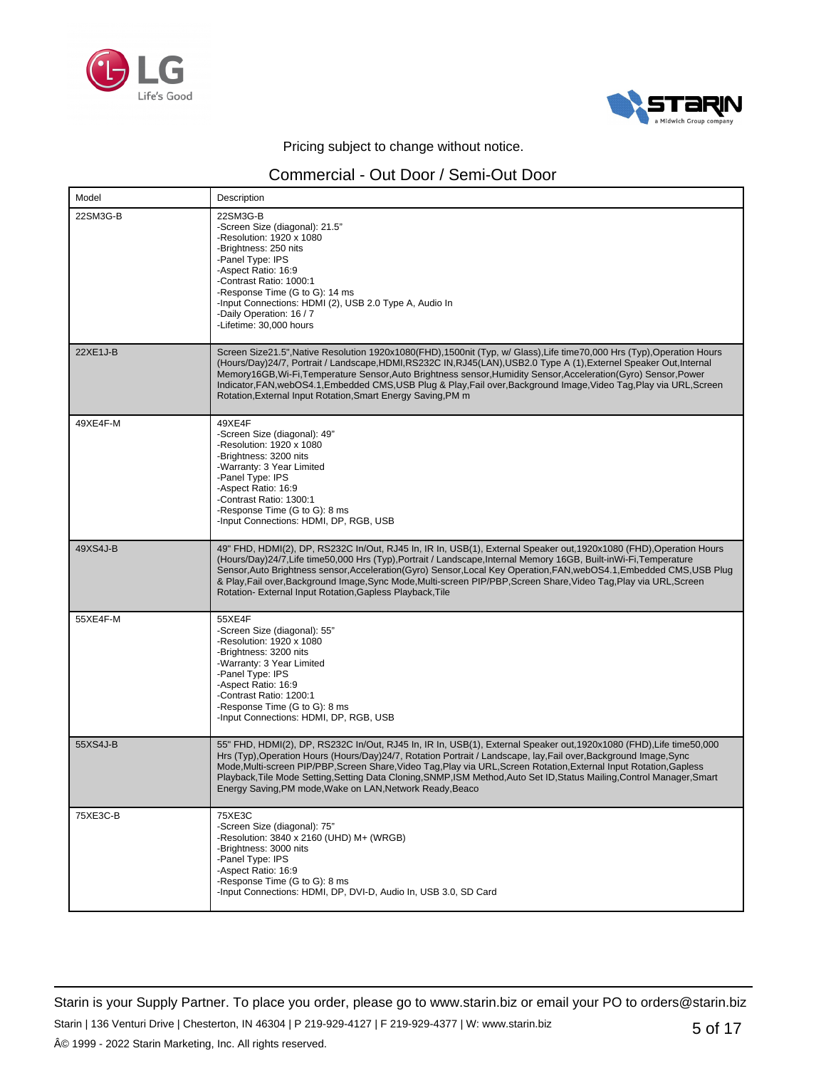



## Commercial - Out Door / Semi-Out Door

| Model    | Description                                                                                                                                                                                                                                                                                                                                                                                                                                                                                                                                                   |
|----------|---------------------------------------------------------------------------------------------------------------------------------------------------------------------------------------------------------------------------------------------------------------------------------------------------------------------------------------------------------------------------------------------------------------------------------------------------------------------------------------------------------------------------------------------------------------|
| 22SM3G-B | 22SM3G-B<br>-Screen Size (diagonal): 21.5"<br>-Resolution: 1920 x 1080<br>-Brightness: 250 nits<br>-Panel Type: IPS<br>-Aspect Ratio: 16:9<br>-Contrast Ratio: 1000:1<br>-Response Time (G to G): 14 ms<br>-Input Connections: HDMI (2), USB 2.0 Type A, Audio In<br>-Daily Operation: 16 / 7<br>-Lifetime: 30,000 hours                                                                                                                                                                                                                                      |
| 22XE1J-B | Screen Size21.5", Native Resolution 1920x1080(FHD), 1500nit (Typ, w/ Glass), Life time70,000 Hrs (Typ), Operation Hours<br>(Hours/Day)24/7, Portrait / Landscape, HDMI, RS232C IN, RJ45(LAN), USB2.0 Type A (1), Externel Speaker Out, Internal<br>Memory16GB, Wi-Fi, Temperature Sensor, Auto Brightness sensor, Humidity Sensor, Acceleration (Gyro) Sensor, Power<br>Indicator, FAN, webOS4.1, Embedded CMS, USB Plug & Play, Fail over, Background Image, Video Tag, Play via URL, Screen<br>Rotation, External Input Rotation, Smart Energy Saving, PM m |
| 49XE4F-M | 49XE4F<br>-Screen Size (diagonal): 49"<br>-Resolution: 1920 x 1080<br>-Brightness: 3200 nits<br>-Warranty: 3 Year Limited<br>-Panel Type: IPS<br>-Aspect Ratio: 16:9<br>-Contrast Ratio: 1300:1<br>-Response Time (G to G): 8 ms<br>-Input Connections: HDMI, DP, RGB, USB                                                                                                                                                                                                                                                                                    |
| 49XS4J-B | 49" FHD, HDMI(2), DP, RS232C In/Out, RJ45 In, IR In, USB(1), External Speaker out,1920x1080 (FHD),Operation Hours<br>(Hours/Day)24/7, Life time50,000 Hrs (Typ), Portrait / Landscape, Internal Memory 16GB, Built-inWi-Fi, Temperature<br>Sensor, Auto Brightness sensor, Acceleration (Gyro) Sensor, Local Key Operation, FAN, webOS4.1, Embedded CMS, USB Plug<br>& Play, Fail over, Background Image, Sync Mode, Multi-screen PIP/PBP, Screen Share, Video Tag, Play via URL, Screen<br>Rotation- External Input Rotation, Gapless Playback, Tile         |
| 55XE4F-M | 55XE4F<br>-Screen Size (diagonal): 55"<br>-Resolution: 1920 x 1080<br>-Brightness: 3200 nits<br>-Warranty: 3 Year Limited<br>-Panel Type: IPS<br>-Aspect Ratio: 16:9<br>-Contrast Ratio: 1200:1<br>-Response Time (G to G): 8 ms<br>-Input Connections: HDMI, DP, RGB, USB                                                                                                                                                                                                                                                                                    |
| 55XS4J-B | 55" FHD, HDMI(2), DP, RS232C In/Out, RJ45 In, IR In, USB(1), External Speaker out, 1920x1080 (FHD), Life time50,000<br>Hrs (Typ), Operation Hours (Hours/Day) 24/7, Rotation Portrait / Landscape, lay, Fail over, Background Image, Sync<br>Mode, Multi-screen PIP/PBP, Screen Share, Video Tag, Play via URL, Screen Rotation, External Input Rotation, Gapless<br>Playback, Tile Mode Setting, Setting Data Cloning, SNMP, ISM Method, Auto Set ID, Status Mailing, Control Manager, Smart<br>Energy Saving, PM mode, Wake on LAN, Network Ready, Beaco    |
| 75XE3C-B | 75XE3C<br>-Screen Size (diagonal): 75"<br>-Resolution: 3840 x 2160 (UHD) M+ (WRGB)<br>-Brightness: 3000 nits<br>-Panel Type: IPS<br>-Aspect Ratio: 16:9<br>-Response Time (G to G): 8 ms<br>-Input Connections: HDMI, DP, DVI-D, Audio In, USB 3.0, SD Card                                                                                                                                                                                                                                                                                                   |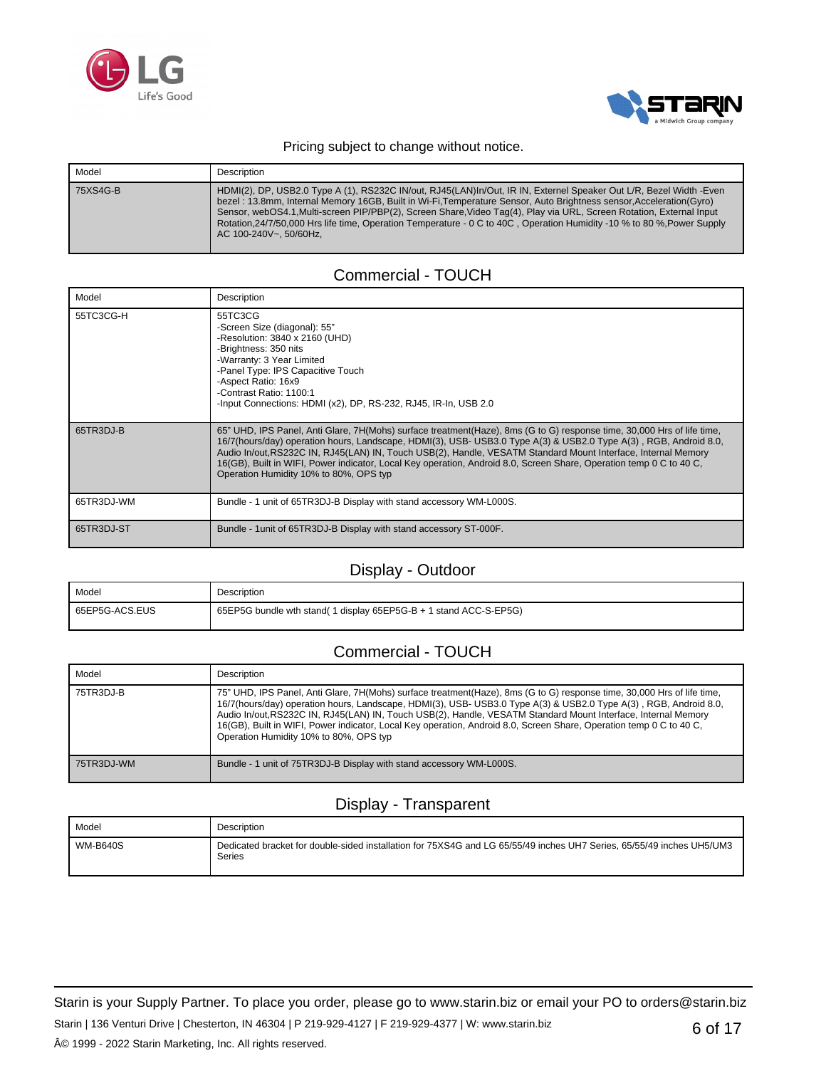



| Model    | Description                                                                                                                                                                                                                                                                                                                                                                                                                                                                                                             |
|----------|-------------------------------------------------------------------------------------------------------------------------------------------------------------------------------------------------------------------------------------------------------------------------------------------------------------------------------------------------------------------------------------------------------------------------------------------------------------------------------------------------------------------------|
| 75XS4G-B | HDMI(2), DP, USB2.0 Type A (1), RS232C IN/out, RJ45(LAN)In/Out, IR IN, Externel Speaker Out L/R, Bezel Width -Even<br>bezel: 13.8mm, Internal Memory 16GB, Built in Wi-Fi, Temperature Sensor, Auto Brightness sensor, Acceleration (Gyro)<br>Sensor, webOS4.1, Multi-screen PIP/PBP(2), Screen Share, Video Tag(4), Play via URL, Screen Rotation, External Input<br>Rotation, 24/7/50,000 Hrs life time, Operation Temperature - 0 C to 40C, Operation Humidity -10 % to 80 %, Power Supply<br>AC 100-240V~, 50/60Hz. |

### Commercial - TOUCH

| Model      | Description                                                                                                                                                                                                                                                                                                                                                                                                                                                                                                                  |
|------------|------------------------------------------------------------------------------------------------------------------------------------------------------------------------------------------------------------------------------------------------------------------------------------------------------------------------------------------------------------------------------------------------------------------------------------------------------------------------------------------------------------------------------|
| 55TC3CG-H  | 55TC3CG<br>-Screen Size (diagonal): 55"<br>-Resolution: 3840 x 2160 (UHD)<br>-Brightness: 350 nits<br>-Warranty: 3 Year Limited<br>-Panel Type: IPS Capacitive Touch<br>-Aspect Ratio: 16x9<br>-Contrast Ratio: 1100:1<br>-Input Connections: HDMI (x2), DP, RS-232, RJ45, IR-In, USB 2.0                                                                                                                                                                                                                                    |
| 65TR3DJ-B  | 65" UHD, IPS Panel, Anti Glare, 7H(Mohs) surface treatment(Haze), 8ms (G to G) response time, 30,000 Hrs of life time,<br>16/7(hours/day) operation hours, Landscape, HDMI(3), USB- USB3.0 Type A(3) & USB2.0 Type A(3), RGB, Android 8.0,<br>Audio In/out, RS232C IN, RJ45(LAN) IN, Touch USB(2), Handle, VESATM Standard Mount Interface, Internal Memory<br>16(GB), Built in WIFI, Power indicator, Local Key operation, Android 8.0, Screen Share, Operation temp 0 C to 40 C,<br>Operation Humidity 10% to 80%, OPS typ |
| 65TR3DJ-WM | Bundle - 1 unit of 65TR3DJ-B Display with stand accessory WM-L000S.                                                                                                                                                                                                                                                                                                                                                                                                                                                          |
| 65TR3DJ-ST | Bundle - 1 unit of 65TR3DJ-B Display with stand accessory ST-000F.                                                                                                                                                                                                                                                                                                                                                                                                                                                           |

### Display - Outdoor

| Model          | Description                                                      |
|----------------|------------------------------------------------------------------|
| 65EP5G-ACS.EUS | 65EP5G bundle wth stand(1 display 65EP5G-B + 1 stand ACC-S-EP5G) |

## Commercial - TOUCH

| Model      | Description                                                                                                                                                                                                                                                                                                                                                                                                                                                                                                                  |
|------------|------------------------------------------------------------------------------------------------------------------------------------------------------------------------------------------------------------------------------------------------------------------------------------------------------------------------------------------------------------------------------------------------------------------------------------------------------------------------------------------------------------------------------|
| 75TR3DJ-B  | 75" UHD, IPS Panel, Anti Glare, 7H(Mohs) surface treatment(Haze), 8ms (G to G) response time, 30,000 Hrs of life time,<br>16/7(hours/day) operation hours, Landscape, HDMI(3), USB- USB3.0 Type A(3) & USB2.0 Type A(3), RGB, Android 8.0,<br>Audio In/out, RS232C IN, RJ45(LAN) IN, Touch USB(2), Handle, VESATM Standard Mount Interface, Internal Memory<br>16(GB), Built in WIFI, Power indicator, Local Key operation, Android 8.0, Screen Share, Operation temp 0 C to 40 C,<br>Operation Humidity 10% to 80%. OPS typ |
| 75TR3DJ-WM | Bundle - 1 unit of 75TR3DJ-B Display with stand accessory WM-L000S.                                                                                                                                                                                                                                                                                                                                                                                                                                                          |

# Display - Transparent

| Model           | Description                                                                                                                     |
|-----------------|---------------------------------------------------------------------------------------------------------------------------------|
| <b>WM-B640S</b> | Dedicated bracket for double-sided installation for 75XS4G and LG 65/55/49 inches UH7 Series, 65/55/49 inches UH5/UM3<br>Series |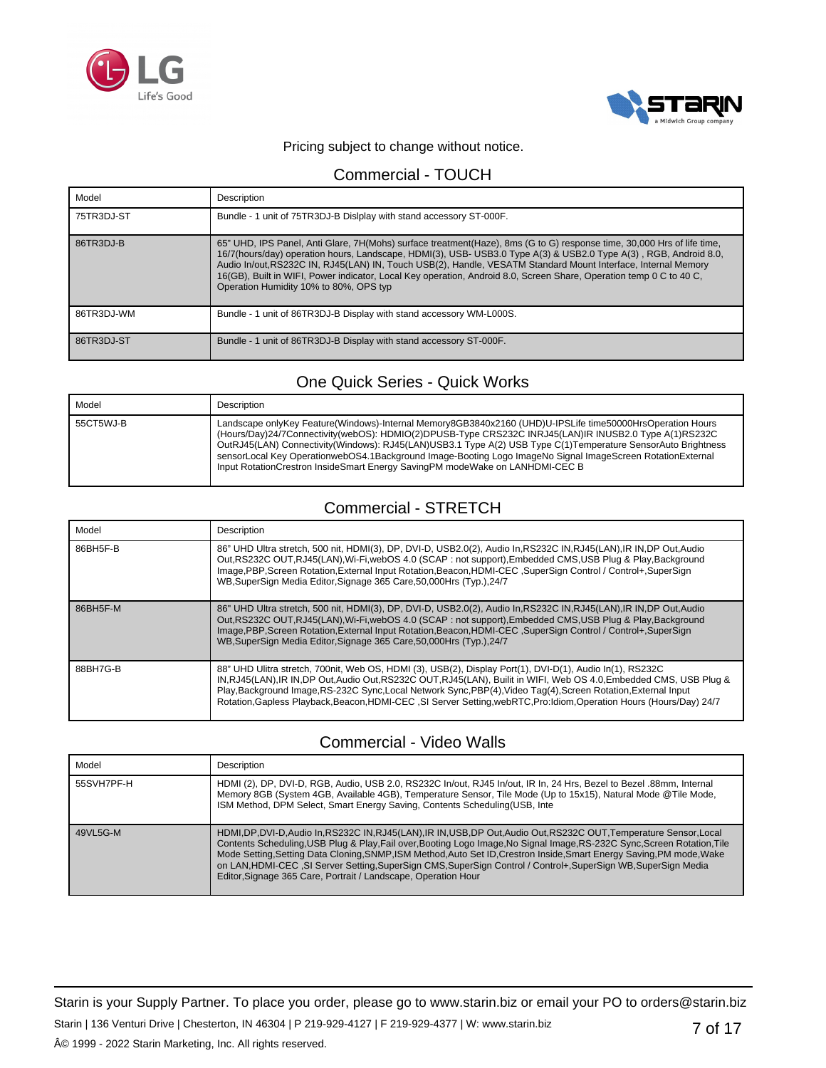



### Commercial - TOUCH

| Model      | Description                                                                                                                                                                                                                                                                                                                                                                                                                                                                                                                  |
|------------|------------------------------------------------------------------------------------------------------------------------------------------------------------------------------------------------------------------------------------------------------------------------------------------------------------------------------------------------------------------------------------------------------------------------------------------------------------------------------------------------------------------------------|
| 75TR3DJ-ST | Bundle - 1 unit of 75TR3DJ-B Dislplay with stand accessory ST-000F.                                                                                                                                                                                                                                                                                                                                                                                                                                                          |
| 86TR3DJ-B  | 65" UHD, IPS Panel, Anti Glare, 7H(Mohs) surface treatment(Haze), 8ms (G to G) response time, 30,000 Hrs of life time,<br>16/7(hours/day) operation hours, Landscape, HDMI(3), USB- USB3.0 Type A(3) & USB2.0 Type A(3), RGB, Android 8.0,<br>Audio In/out, RS232C IN, RJ45(LAN) IN, Touch USB(2), Handle, VESATM Standard Mount Interface, Internal Memory<br>16(GB), Built in WIFI, Power indicator, Local Key operation, Android 8.0, Screen Share, Operation temp 0 C to 40 C,<br>Operation Humidity 10% to 80%, OPS typ |
| 86TR3DJ-WM | Bundle - 1 unit of 86TR3DJ-B Display with stand accessory WM-L000S.                                                                                                                                                                                                                                                                                                                                                                                                                                                          |
| 86TR3DJ-ST | Bundle - 1 unit of 86TR3DJ-B Display with stand accessory ST-000F.                                                                                                                                                                                                                                                                                                                                                                                                                                                           |

# One Quick Series - Quick Works

| Model     | Description                                                                                                                                                                                                                                                                                                                                                                                                                                                                                                                      |
|-----------|----------------------------------------------------------------------------------------------------------------------------------------------------------------------------------------------------------------------------------------------------------------------------------------------------------------------------------------------------------------------------------------------------------------------------------------------------------------------------------------------------------------------------------|
| 55CT5WJ-B | Landscape onlyKey Feature(Windows)-Internal Memory8GB3840x2160 (UHD)U-IPSLife time50000HrsOperation Hours<br>(Hours/Day)24/7Connectivity(webOS): HDMIO(2)DPUSB-Type CRS232C INRJ45(LAN)IR INUSB2.0 Type A(1)RS232C<br>OutRJ45(LAN) Connectivity(Windows): RJ45(LAN)USB3.1 Type A(2) USB Type C(1)Temperature SensorAuto Brightness<br>sensorLocal Key OperationwebOS4.1Background Image-Booting Logo ImageNo Signal ImageScreen RotationExternal<br>Input RotationCrestron InsideSmart Energy SavingPM modeWake on LANHDMI-CEC B |

## Commercial - STRETCH

| Model    | <b>Description</b>                                                                                                                                                                                                                                                                                                                                                                                                                                                           |
|----------|------------------------------------------------------------------------------------------------------------------------------------------------------------------------------------------------------------------------------------------------------------------------------------------------------------------------------------------------------------------------------------------------------------------------------------------------------------------------------|
| 86BH5F-B | 86" UHD Ultra stretch, 500 nit, HDMI(3), DP, DVI-D, USB2.0(2), Audio In, RS232C IN, RJ45(LAN), IR IN, DP Out, Audio<br>Out, RS232C OUT, RJ45(LAN), Wi-Fi, webOS 4.0 (SCAP: not support), Embedded CMS, USB Plug & Play, Background<br>Image, PBP, Screen Rotation, External Input Rotation, Beacon, HDMI-CEC, SuperSign Control / Control+, SuperSign<br>WB, SuperSign Media Editor, Signage 365 Care, 50,000Hrs (Typ.), 24/7                                                |
| 86BH5F-M | 86" UHD Ultra stretch, 500 nit, HDMI(3), DP, DVI-D, USB2.0(2), Audio In, RS232C IN, RJ45(LAN), IR IN, DP Out, Audio<br>Out, RS232C OUT, RJ45(LAN), Wi-Fi, webOS 4.0 (SCAP: not support), Embedded CMS, USB Plug & Play, Background<br>Image, PBP, Screen Rotation, External Input Rotation, Beacon, HDMI-CEC, SuperSign Control / Control+, SuperSign<br>WB, SuperSign Media Editor, Signage 365 Care, 50, 000 Hrs (Typ.), 24/7                                              |
| 88BH7G-B | 88" UHD Ulitra stretch, 700nit, Web OS, HDMI (3), USB(2), Display Port(1), DVI-D(1), Audio In(1), RS232C<br>IN, RJ45(LAN), IR IN, DP Out, Audio Out, RS232C OUT, RJ45(LAN), Builit in WIFI, Web OS 4.0, Embedded CMS, USB Plug &<br>Play, Background Image, RS-232C Sync, Local Network Sync, PBP(4), Video Tag(4), Screen Rotation, External Input<br>Rotation, Gapless Playback, Beacon, HDMI-CEC, SI Server Setting, webRTC, Pro: Idiom, Operation Hours (Hours/Day) 24/7 |

### Commercial - Video Walls

| Model      | Description                                                                                                                                                                                                                                                                                                                                                                                                                                                                                                                                           |
|------------|-------------------------------------------------------------------------------------------------------------------------------------------------------------------------------------------------------------------------------------------------------------------------------------------------------------------------------------------------------------------------------------------------------------------------------------------------------------------------------------------------------------------------------------------------------|
| 55SVH7PF-H | HDMI (2), DP, DVI-D, RGB, Audio, USB 2.0, RS232C In/out, RJ45 In/out, IR In, 24 Hrs, Bezel to Bezel .88mm, Internal<br>Memory 8GB (System 4GB, Available 4GB), Temperature Sensor, Tile Mode (Up to 15x15), Natural Mode @Tile Mode,<br>ISM Method, DPM Select, Smart Energy Saving, Contents Scheduling(USB, Inte                                                                                                                                                                                                                                    |
| 49VL5G-M   | HDMI,DP,DVI-D,Audio In,RS232C IN,RJ45(LAN),IR IN,USB,DP Out,Audio Out,RS232C OUT,Temperature Sensor,Local<br>Contents Scheduling, USB Plug & Play, Fail over, Booting Logo Image, No Signal Image, RS-232C Sync, Screen Rotation, Tile<br>Mode Setting, Setting Data Cloning, SNMP, ISM Method, Auto Set ID, Crestron Inside, Smart Energy Saving, PM mode, Wake<br>on LAN, HDMI-CEC, SI Server Setting, SuperSign CMS, SuperSign Control / Control+, SuperSign WB, SuperSign Media<br>Editor, Signage 365 Care, Portrait / Landscape, Operation Hour |

7 of 17 Starin is your Supply Partner. To place you order, please go to www.starin.biz or email your PO to orders@starin.biz Starin | 136 Venturi Drive | Chesterton, IN 46304 | P 219-929-4127 | F 219-929-4377 | W: www.starin.biz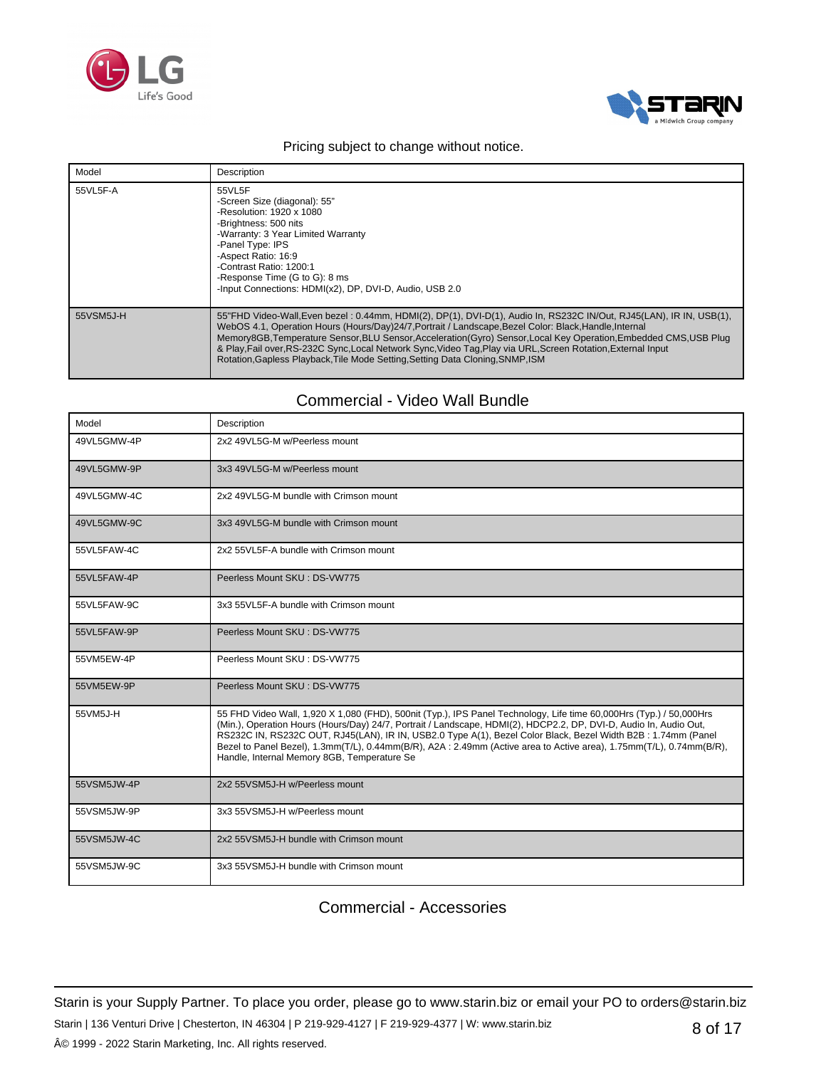



| Model     | Description                                                                                                                                                                                                                                                                                                                                                                                                                                                                                                                                            |
|-----------|--------------------------------------------------------------------------------------------------------------------------------------------------------------------------------------------------------------------------------------------------------------------------------------------------------------------------------------------------------------------------------------------------------------------------------------------------------------------------------------------------------------------------------------------------------|
| 55VL5F-A  | 55VL5F<br>-Screen Size (diagonal): 55"<br>-Resolution: 1920 x 1080<br>-Brightness: 500 nits<br>-Warranty: 3 Year Limited Warranty<br>-Panel Type: IPS<br>-Aspect Ratio: 16:9<br>-Contrast Ratio: 1200:1<br>-Response Time (G to G): 8 ms<br>-Input Connections: HDMI(x2), DP, DVI-D, Audio, USB 2.0                                                                                                                                                                                                                                                    |
| 55VSM5J-H | 55"FHD Video-Wall, Even bezel: 0.44mm, HDMI(2), DP(1), DVI-D(1), Audio In, RS232C IN/Out, RJ45(LAN), IR IN, USB(1),<br>WebOS 4.1, Operation Hours (Hours/Day)24/7, Portrait / Landscape, Bezel Color: Black, Handle, Internal<br>Memory8GB, Temperature Sensor, BLU Sensor, Acceleration (Gyro) Sensor, Local Key Operation, Embedded CMS, USB Plug<br>& Play, Fail over, RS-232C Sync, Local Network Sync, Video Tag, Play via URL, Screen Rotation, External Input<br>Rotation, Gapless Playback, Tile Mode Setting, Setting Data Cloning, SNMP, ISM |

## Commercial - Video Wall Bundle

| Model       | Description                                                                                                                                                                                                                                                                                                                                                                                                                                                                                                                    |
|-------------|--------------------------------------------------------------------------------------------------------------------------------------------------------------------------------------------------------------------------------------------------------------------------------------------------------------------------------------------------------------------------------------------------------------------------------------------------------------------------------------------------------------------------------|
| 49VL5GMW-4P | 2x2 49VL5G-M w/Peerless mount                                                                                                                                                                                                                                                                                                                                                                                                                                                                                                  |
| 49VL5GMW-9P | 3x3 49VL5G-M w/Peerless mount                                                                                                                                                                                                                                                                                                                                                                                                                                                                                                  |
| 49VL5GMW-4C | 2x2 49VL5G-M bundle with Crimson mount                                                                                                                                                                                                                                                                                                                                                                                                                                                                                         |
| 49VL5GMW-9C | 3x3 49VL5G-M bundle with Crimson mount                                                                                                                                                                                                                                                                                                                                                                                                                                                                                         |
| 55VL5FAW-4C | 2x2 55 VL5F-A bundle with Crimson mount                                                                                                                                                                                                                                                                                                                                                                                                                                                                                        |
| 55VL5FAW-4P | Peerless Mount SKU: DS-VW775                                                                                                                                                                                                                                                                                                                                                                                                                                                                                                   |
| 55VL5FAW-9C | 3x3 55VL5F-A bundle with Crimson mount                                                                                                                                                                                                                                                                                                                                                                                                                                                                                         |
| 55VL5FAW-9P | Peerless Mount SKU: DS-VW775                                                                                                                                                                                                                                                                                                                                                                                                                                                                                                   |
| 55VM5EW-4P  | Peerless Mount SKU: DS-VW775                                                                                                                                                                                                                                                                                                                                                                                                                                                                                                   |
| 55VM5EW-9P  | Peerless Mount SKU: DS-VW775                                                                                                                                                                                                                                                                                                                                                                                                                                                                                                   |
| 55VM5J-H    | 55 FHD Video Wall, 1,920 X 1,080 (FHD), 500nit (Typ.), IPS Panel Technology, Life time 60,000Hrs (Typ.) / 50,000Hrs<br>(Min.), Operation Hours (Hours/Day) 24/7, Portrait / Landscape, HDMI(2), HDCP2.2, DP, DVI-D, Audio In, Audio Out,<br>RS232C IN, RS232C OUT, RJ45(LAN), IR IN, USB2.0 Type A(1), Bezel Color Black, Bezel Width B2B: 1.74mm (Panel<br>Bezel to Panel Bezel), 1.3mm(T/L), 0.44mm(B/R), A2A: 2.49mm (Active area to Active area), 1.75mm(T/L), 0.74mm(B/R),<br>Handle, Internal Memory 8GB, Temperature Se |
| 55VSM5JW-4P | 2x2 55VSM5J-H w/Peerless mount                                                                                                                                                                                                                                                                                                                                                                                                                                                                                                 |
| 55VSM5JW-9P | 3x3 55VSM5J-H w/Peerless mount                                                                                                                                                                                                                                                                                                                                                                                                                                                                                                 |
| 55VSM5JW-4C | 2x2 55 VSM5J-H bundle with Crimson mount                                                                                                                                                                                                                                                                                                                                                                                                                                                                                       |
| 55VSM5JW-9C | 3x3 55VSM5J-H bundle with Crimson mount                                                                                                                                                                                                                                                                                                                                                                                                                                                                                        |

## Commercial - Accessories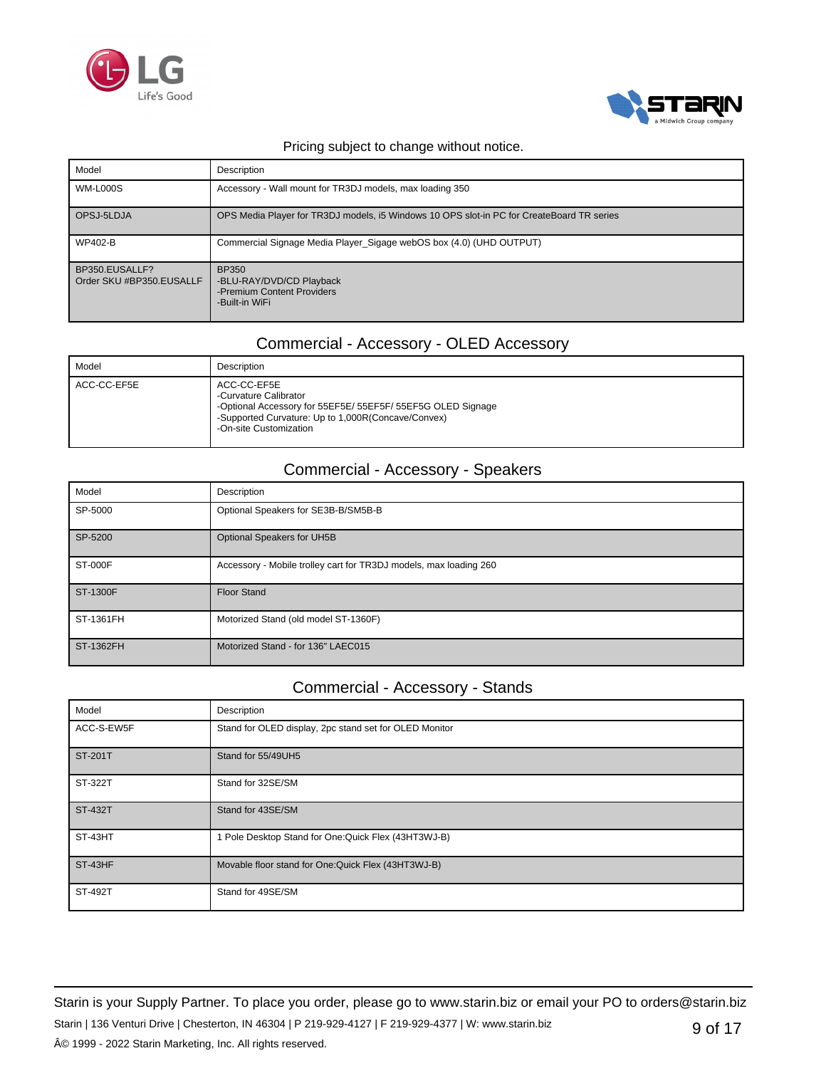



| Model                                      | Description                                                                               |
|--------------------------------------------|-------------------------------------------------------------------------------------------|
| <b>WM-L000S</b>                            | Accessory - Wall mount for TR3DJ models, max loading 350                                  |
| OPSJ-5LDJA                                 | OPS Media Player for TR3DJ models, i5 Windows 10 OPS slot-in PC for CreateBoard TR series |
| <b>WP402-B</b>                             | Commercial Signage Media Player_Sigage webOS box (4.0) (UHD OUTPUT)                       |
| BP350.EUSALLF?<br>Order SKU #BP350.EUSALLF | BP350<br>-BLU-RAY/DVD/CD Playback<br>-Premium Content Providers<br>-Built-in WiFi         |

## Commercial - Accessory - OLED Accessory

| Model       | Description                                                                                                                                                                         |
|-------------|-------------------------------------------------------------------------------------------------------------------------------------------------------------------------------------|
| ACC-CC-EF5E | ACC-CC-EF5E<br>-Curvature Calibrator<br>-Optional Accessory for 55EF5E/ 55EF5F/ 55EF5G OLED Signage<br>-Supported Curvature: Up to 1,000R(Concave/Convex)<br>-On-site Customization |

## Commercial - Accessory - Speakers

| Model          | Description                                                       |
|----------------|-------------------------------------------------------------------|
| SP-5000        | Optional Speakers for SE3B-B/SM5B-B                               |
| SP-5200        | Optional Speakers for UH5B                                        |
| <b>ST-000F</b> | Accessory - Mobile trolley cart for TR3DJ models, max loading 260 |
| ST-1300F       | <b>Floor Stand</b>                                                |
| ST-1361FH      | Motorized Stand (old model ST-1360F)                              |
| ST-1362FH      | Motorized Stand - for 136" LAEC015                                |

### Commercial - Accessory - Stands

| Model          | Description                                            |
|----------------|--------------------------------------------------------|
| ACC-S-EW5F     | Stand for OLED display, 2pc stand set for OLED Monitor |
| ST-201T        | Stand for 55/49UH5                                     |
| ST-322T        | Stand for 32SE/SM                                      |
| <b>ST-432T</b> | Stand for 43SE/SM                                      |
| ST-43HT        | 1 Pole Desktop Stand for One: Quick Flex (43HT3WJ-B)   |
| ST-43HF        | Movable floor stand for One: Quick Flex (43HT3WJ-B)    |
| ST-492T        | Stand for 49SE/SM                                      |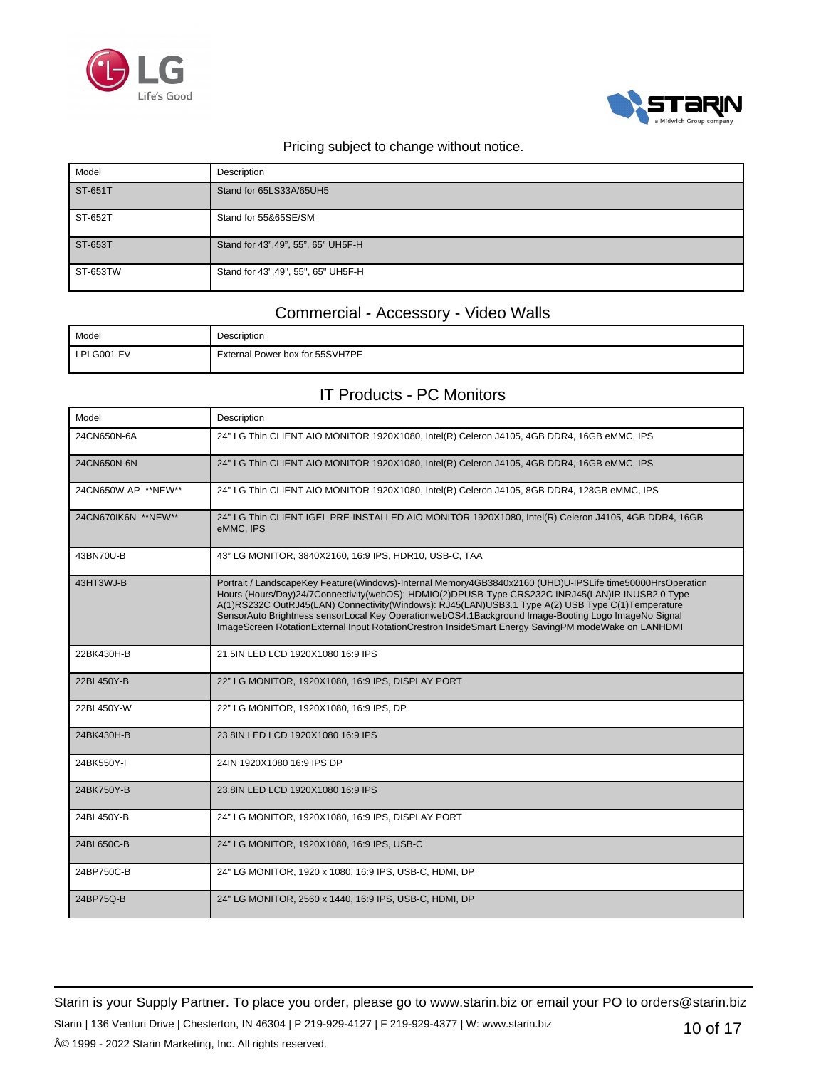



| Model    | Description                         |
|----------|-------------------------------------|
| ST-651T  | Stand for 65LS33A/65UH5             |
| ST-652T  | Stand for 55&65SE/SM                |
| ST-653T  | Stand for 43", 49", 55", 65" UH5F-H |
| ST-653TW | Stand for 43", 49", 55", 65" UH5F-H |

### Commercial - Accessory - Video Walls

| Model      | Description                     |
|------------|---------------------------------|
| LPLG001-FV | External Power box for 55SVH7PF |

### IT Products - PC Monitors

| Model               | Description                                                                                                                                                                                                                                                                                                                                                                                                                                                                                                                      |
|---------------------|----------------------------------------------------------------------------------------------------------------------------------------------------------------------------------------------------------------------------------------------------------------------------------------------------------------------------------------------------------------------------------------------------------------------------------------------------------------------------------------------------------------------------------|
| 24CN650N-6A         | 24" LG Thin CLIENT AIO MONITOR 1920X1080, Intel(R) Celeron J4105, 4GB DDR4, 16GB eMMC, IPS                                                                                                                                                                                                                                                                                                                                                                                                                                       |
| 24CN650N-6N         | 24" LG Thin CLIENT AIO MONITOR 1920X1080, Intel(R) Celeron J4105, 4GB DDR4, 16GB eMMC, IPS                                                                                                                                                                                                                                                                                                                                                                                                                                       |
| 24CN650W-AP **NEW** | 24" LG Thin CLIENT AIO MONITOR 1920X1080, Intel(R) Celeron J4105, 8GB DDR4, 128GB eMMC, IPS                                                                                                                                                                                                                                                                                                                                                                                                                                      |
| 24CN670IK6N **NEW** | 24" LG Thin CLIENT IGEL PRE-INSTALLED AIO MONITOR 1920X1080, Intel(R) Celeron J4105, 4GB DDR4, 16GB<br>eMMC, IPS                                                                                                                                                                                                                                                                                                                                                                                                                 |
| 43BN70U-B           | 43" LG MONITOR, 3840X2160, 16:9 IPS, HDR10, USB-C, TAA                                                                                                                                                                                                                                                                                                                                                                                                                                                                           |
| 43HT3WJ-B           | Portrait / LandscapeKey Feature(Windows)-Internal Memory4GB3840x2160 (UHD)U-IPSLife time50000HrsOperation<br>Hours (Hours/Day)24/7Connectivity(webOS): HDMIO(2)DPUSB-Type CRS232C INRJ45(LAN)IR INUSB2.0 Type<br>A(1)RS232C OutRJ45(LAN) Connectivity(Windows): RJ45(LAN)USB3.1 Type A(2) USB Type C(1)Temperature<br>SensorAuto Brightness sensorLocal Key OperationwebOS4.1Background Image-Booting Logo ImageNo Signal<br>ImageScreen RotationExternal Input RotationCrestron InsideSmart Energy SavingPM modeWake on LANHDMI |
| 22BK430H-B          | 21.5IN LED LCD 1920X1080 16:9 IPS                                                                                                                                                                                                                                                                                                                                                                                                                                                                                                |
| 22BL450Y-B          | 22" LG MONITOR, 1920X1080, 16:9 IPS, DISPLAY PORT                                                                                                                                                                                                                                                                                                                                                                                                                                                                                |
| 22BL450Y-W          | 22" LG MONITOR, 1920X1080, 16:9 IPS, DP                                                                                                                                                                                                                                                                                                                                                                                                                                                                                          |
| 24BK430H-B          | 23.8IN LED LCD 1920X1080 16:9 IPS                                                                                                                                                                                                                                                                                                                                                                                                                                                                                                |
| 24BK550Y-I          | 24IN 1920X1080 16:9 IPS DP                                                                                                                                                                                                                                                                                                                                                                                                                                                                                                       |
| 24BK750Y-B          | 23.8IN LED LCD 1920X1080 16:9 IPS                                                                                                                                                                                                                                                                                                                                                                                                                                                                                                |
| 24BL450Y-B          | 24" LG MONITOR, 1920X1080, 16:9 IPS, DISPLAY PORT                                                                                                                                                                                                                                                                                                                                                                                                                                                                                |
| 24BL650C-B          | 24" LG MONITOR, 1920X1080, 16:9 IPS, USB-C                                                                                                                                                                                                                                                                                                                                                                                                                                                                                       |
| 24BP750C-B          | 24" LG MONITOR, 1920 x 1080, 16:9 IPS, USB-C, HDMI, DP                                                                                                                                                                                                                                                                                                                                                                                                                                                                           |
| 24BP75Q-B           | 24" LG MONITOR, 2560 x 1440, 16:9 IPS, USB-C, HDMI, DP                                                                                                                                                                                                                                                                                                                                                                                                                                                                           |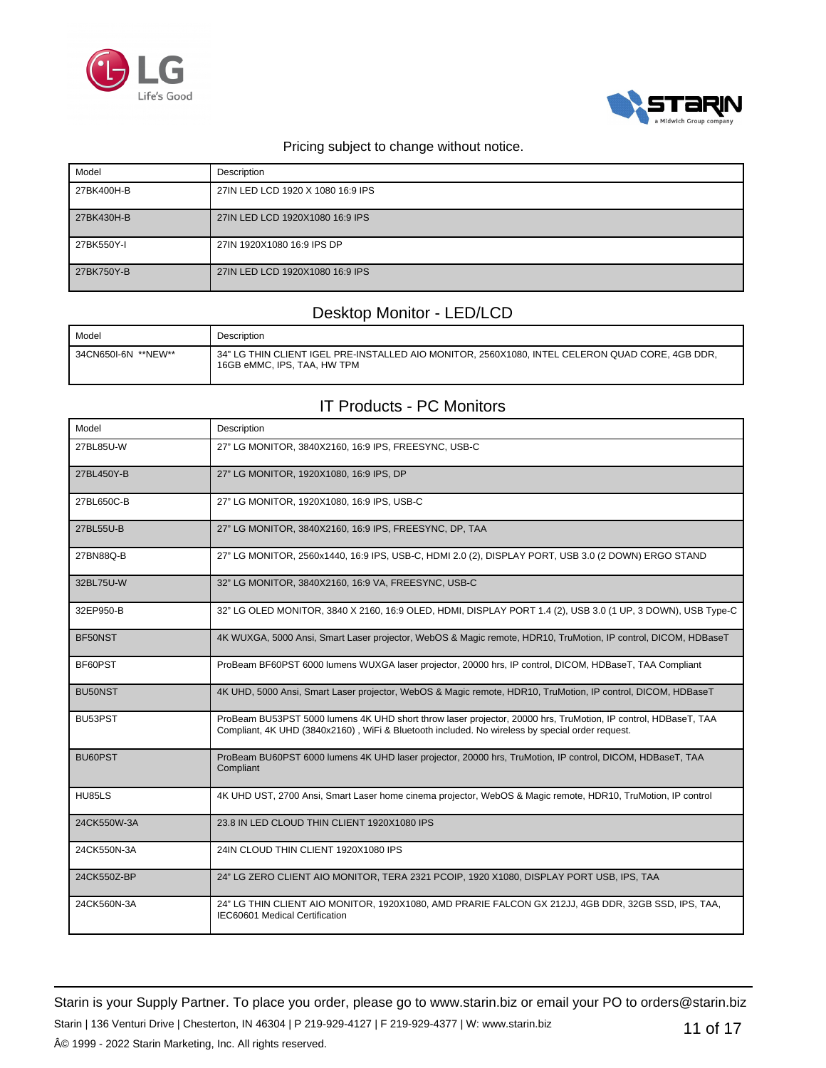



| Model      | Description                       |
|------------|-----------------------------------|
| 27BK400H-B | 27IN LED LCD 1920 X 1080 16:9 IPS |
| 27BK430H-B | 27IN LED LCD 1920X1080 16:9 IPS   |
| 27BK550Y-I | 27IN 1920X1080 16:9 IPS DP        |
| 27BK750Y-B | 27IN LED LCD 1920X1080 16:9 IPS   |

### Desktop Monitor - LED/LCD

| Model               | Description                                                                                                                    |
|---------------------|--------------------------------------------------------------------------------------------------------------------------------|
| 34CN650I-6N **NEW** | 34" LG THIN CLIENT IGEL PRE-INSTALLED AIO MONITOR, 2560X1080, INTEL CELERON QUAD CORE, 4GB DDR,<br>16GB eMMC, IPS, TAA, HW TPM |

## IT Products - PC Monitors

| Model                | Description                                                                                                                                                                                                       |
|----------------------|-------------------------------------------------------------------------------------------------------------------------------------------------------------------------------------------------------------------|
| 27BL85U-W            | 27" LG MONITOR, 3840X2160, 16:9 IPS, FREESYNC, USB-C                                                                                                                                                              |
| 27BL450Y-B           | 27" LG MONITOR, 1920X1080, 16:9 IPS, DP                                                                                                                                                                           |
| 27BL650C-B           | 27" LG MONITOR, 1920X1080, 16:9 IPS, USB-C                                                                                                                                                                        |
| 27BL55U-B            | 27" LG MONITOR, 3840X2160, 16:9 IPS, FREESYNC, DP, TAA                                                                                                                                                            |
| 27BN88Q-B            | 27" LG MONITOR, 2560x1440, 16:9 IPS, USB-C, HDMI 2.0 (2), DISPLAY PORT, USB 3.0 (2 DOWN) ERGO STAND                                                                                                               |
| 32BL75U-W            | 32" LG MONITOR, 3840X2160, 16:9 VA, FREESYNC, USB-C                                                                                                                                                               |
| 32EP950-B            | 32" LG OLED MONITOR, 3840 X 2160, 16:9 OLED, HDMI, DISPLAY PORT 1.4 (2), USB 3.0 (1 UP, 3 DOWN), USB Type-C                                                                                                       |
| BF50NST              | 4K WUXGA, 5000 Ansi, Smart Laser projector, WebOS & Magic remote, HDR10, TruMotion, IP control, DICOM, HDBaseT                                                                                                    |
| BF60PST              | ProBeam BF60PST 6000 lumens WUXGA laser projector, 20000 hrs, IP control, DICOM, HDBaseT, TAA Compliant                                                                                                           |
| BU <sub>50</sub> NST | 4K UHD, 5000 Ansi, Smart Laser projector, WebOS & Magic remote, HDR10, TruMotion, IP control, DICOM, HDBaseT                                                                                                      |
| BU53PST              | ProBeam BU53PST 5000 lumens 4K UHD short throw laser projector, 20000 hrs, TruMotion, IP control, HDBaseT, TAA<br>Compliant, 4K UHD (3840x2160), WiFi & Bluetooth included. No wireless by special order request. |
| BU60PST              | ProBeam BU60PST 6000 lumens 4K UHD laser projector, 20000 hrs, TruMotion, IP control, DICOM, HDBaseT, TAA<br>Compliant                                                                                            |
| <b>HU85LS</b>        | 4K UHD UST, 2700 Ansi, Smart Laser home cinema projector, WebOS & Magic remote, HDR10, TruMotion, IP control                                                                                                      |
| 24CK550W-3A          | 23.8 IN LED CLOUD THIN CLIENT 1920X1080 IPS                                                                                                                                                                       |
| 24CK550N-3A          | 24IN CLOUD THIN CLIENT 1920X1080 IPS                                                                                                                                                                              |
| 24CK550Z-BP          | 24" LG ZERO CLIENT AIO MONITOR, TERA 2321 PCOIP, 1920 X1080, DISPLAY PORT USB, IPS, TAA                                                                                                                           |
| 24CK560N-3A          | 24" LG THIN CLIENT AIO MONITOR, 1920X1080, AMD PRARIE FALCON GX 212JJ, 4GB DDR, 32GB SSD, IPS, TAA,<br>IEC60601 Medical Certification                                                                             |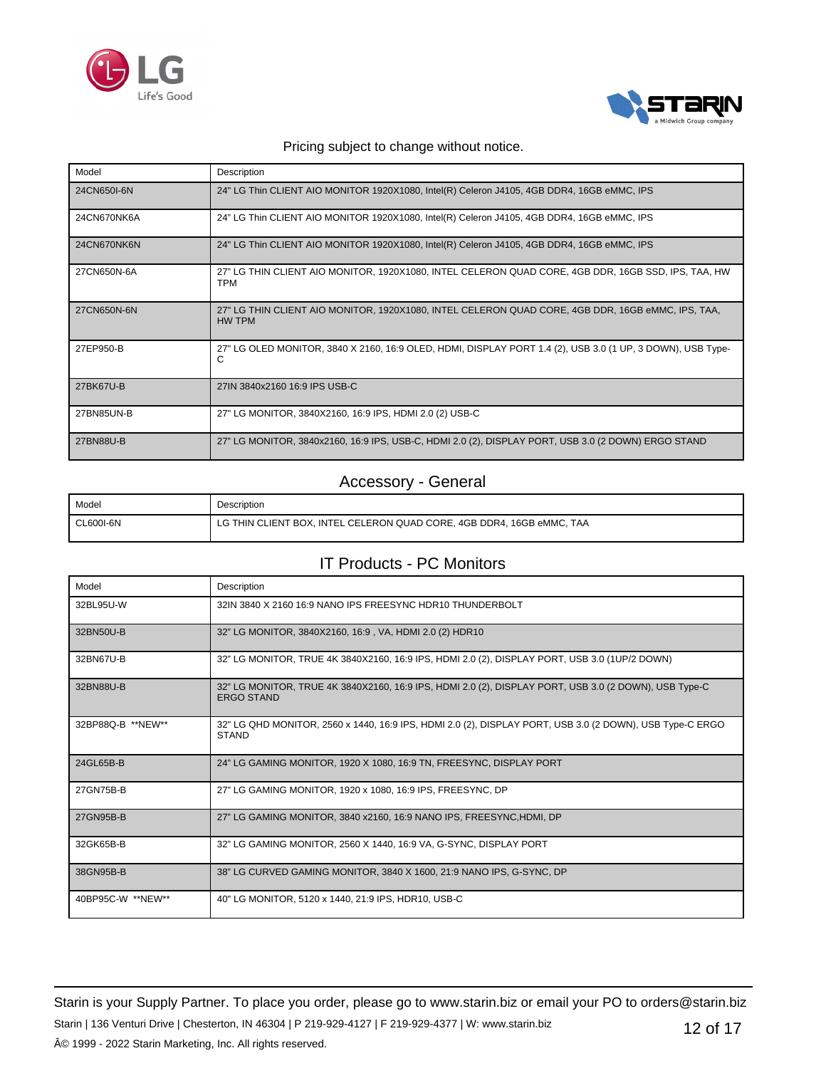



| Model       | Description                                                                                                       |
|-------------|-------------------------------------------------------------------------------------------------------------------|
| 24CN650I-6N | 24" LG Thin CLIENT AIO MONITOR 1920X1080, Intel(R) Celeron J4105, 4GB DDR4, 16GB eMMC, IPS                        |
| 24CN670NK6A | 24" LG Thin CLIENT AIO MONITOR 1920X1080, Intel(R) Celeron J4105, 4GB DDR4, 16GB eMMC, IPS                        |
| 24CN670NK6N | 24" LG Thin CLIENT AIO MONITOR 1920X1080, Intel(R) Celeron J4105, 4GB DDR4, 16GB eMMC, IPS                        |
| 27CN650N-6A | 27" LG THIN CLIENT AIO MONITOR, 1920X1080, INTEL CELERON QUAD CORE, 4GB DDR, 16GB SSD, IPS, TAA, HW<br><b>TPM</b> |
| 27CN650N-6N | 27" LG THIN CLIENT AIO MONITOR, 1920X1080, INTEL CELERON QUAD CORE, 4GB DDR, 16GB eMMC, IPS, TAA,<br>HW TPM       |
| 27EP950-B   | 27" LG OLED MONITOR, 3840 X 2160, 16:9 OLED, HDMI, DISPLAY PORT 1.4 (2), USB 3.0 (1 UP, 3 DOWN), USB Type-<br>С   |
| 27BK67U-B   | 27IN 3840x2160 16:9 IPS USB-C                                                                                     |
| 27BN85UN-B  | 27" LG MONITOR, 3840X2160, 16:9 IPS, HDMI 2.0 (2) USB-C                                                           |
| 27BN88U-B   | 27" LG MONITOR, 3840x2160, 16:9 IPS, USB-C, HDMI 2.0 (2), DISPLAY PORT, USB 3.0 (2 DOWN) ERGO STAND               |

### Accessory - General

| Model     | Description                                                           |
|-----------|-----------------------------------------------------------------------|
| CL600I-6N | LG THIN CLIENT BOX, INTEL CELERON QUAD CORE, 4GB DDR4, 16GB eMMC, TAA |

## IT Products - PC Monitors

| Model             | Description                                                                                                                |
|-------------------|----------------------------------------------------------------------------------------------------------------------------|
| 32BL95U-W         | 32IN 3840 X 2160 16:9 NANO IPS FREESYNC HDR10 THUNDERBOLT                                                                  |
| 32BN50U-B         | 32" LG MONITOR, 3840X2160, 16:9, VA, HDMI 2.0 (2) HDR10                                                                    |
| 32BN67U-B         | 32" LG MONITOR, TRUE 4K 3840X2160, 16:9 IPS, HDMI 2.0 (2), DISPLAY PORT, USB 3.0 (1UP/2 DOWN)                              |
| 32BN88U-B         | 32" LG MONITOR, TRUE 4K 3840X2160, 16:9 IPS, HDMI 2.0 (2), DISPLAY PORT, USB 3.0 (2 DOWN), USB Type-C<br><b>ERGO STAND</b> |
| 32BP88Q-B **NEW** | 32" LG QHD MONITOR, 2560 x 1440, 16:9 IPS, HDMI 2.0 (2), DISPLAY PORT, USB 3.0 (2 DOWN), USB Type-C ERGO<br><b>STAND</b>   |
| 24GL65B-B         | 24" LG GAMING MONITOR, 1920 X 1080, 16:9 TN, FREESYNC, DISPLAY PORT                                                        |
| 27GN75B-B         | 27" LG GAMING MONITOR, 1920 x 1080, 16:9 IPS, FREESYNC, DP                                                                 |
| 27GN95B-B         | 27" LG GAMING MONITOR, 3840 x2160, 16:9 NANO IPS, FREESYNC.HDMI, DP                                                        |
| 32GK65B-B         | 32" LG GAMING MONITOR, 2560 X 1440, 16:9 VA, G-SYNC, DISPLAY PORT                                                          |
| 38GN95B-B         | 38" LG CURVED GAMING MONITOR, 3840 X 1600, 21:9 NANO IPS, G-SYNC, DP                                                       |
| 40BP95C-W **NEW** | 40" LG MONITOR, 5120 x 1440, 21:9 IPS, HDR10, USB-C                                                                        |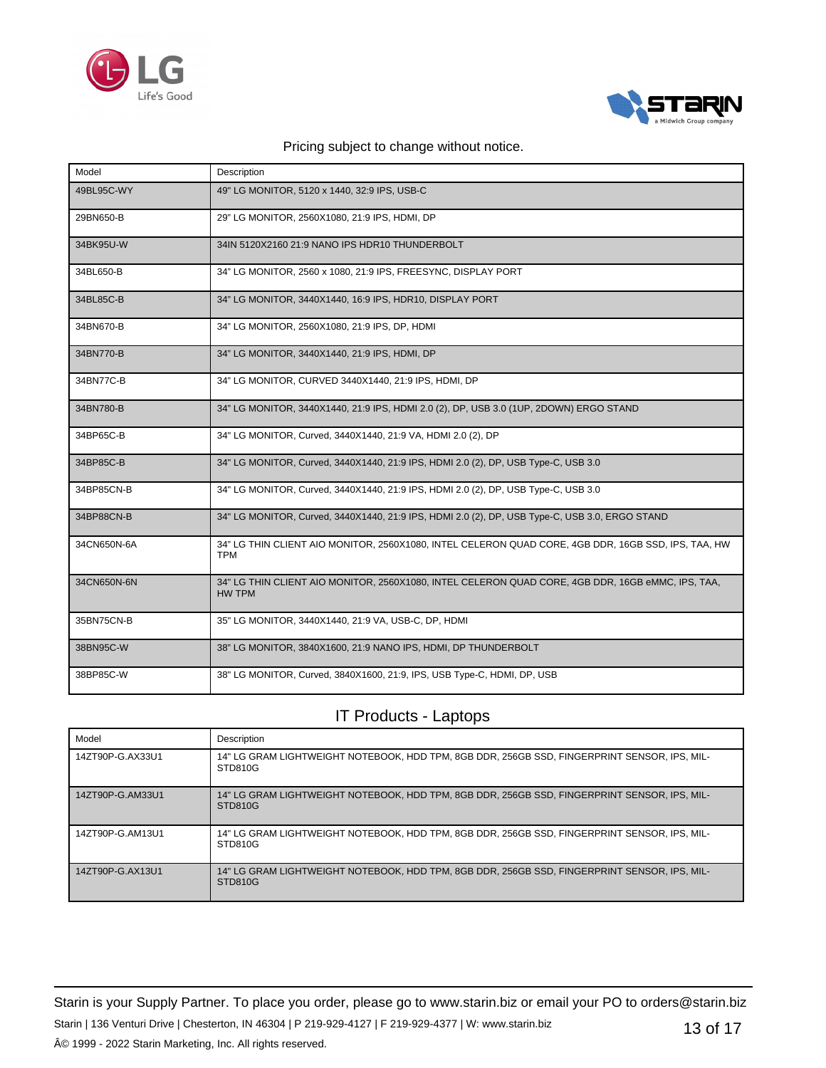



| Model       | Description                                                                                                       |
|-------------|-------------------------------------------------------------------------------------------------------------------|
| 49BL95C-WY  | 49" LG MONITOR, 5120 x 1440, 32:9 IPS, USB-C                                                                      |
| 29BN650-B   | 29" LG MONITOR, 2560X1080, 21:9 IPS, HDMI, DP                                                                     |
| 34BK95U-W   | 34IN 5120X2160 21:9 NANO IPS HDR10 THUNDERBOLT                                                                    |
| 34BL650-B   | 34" LG MONITOR, 2560 x 1080, 21:9 IPS, FREESYNC, DISPLAY PORT                                                     |
| 34BL85C-B   | 34" LG MONITOR, 3440X1440, 16:9 IPS, HDR10, DISPLAY PORT                                                          |
| 34BN670-B   | 34" LG MONITOR, 2560X1080, 21:9 IPS, DP, HDMI                                                                     |
| 34BN770-B   | 34" LG MONITOR, 3440X1440, 21:9 IPS, HDMI, DP                                                                     |
| 34BN77C-B   | 34" LG MONITOR, CURVED 3440X1440, 21:9 IPS, HDMI, DP                                                              |
| 34BN780-B   | 34" LG MONITOR, 3440X1440, 21:9 IPS, HDMI 2.0 (2), DP, USB 3.0 (1UP, 2DOWN) ERGO STAND                            |
| 34BP65C-B   | 34" LG MONITOR, Curved, 3440X1440, 21:9 VA, HDMI 2.0 (2), DP                                                      |
| 34BP85C-B   | 34" LG MONITOR, Curved, 3440X1440, 21:9 IPS, HDMI 2.0 (2), DP, USB Type-C, USB 3.0                                |
| 34BP85CN-B  | 34" LG MONITOR, Curved, 3440X1440, 21:9 IPS, HDMI 2.0 (2), DP, USB Type-C, USB 3.0                                |
| 34BP88CN-B  | 34" LG MONITOR, Curved, 3440X1440, 21:9 IPS, HDMI 2.0 (2), DP, USB Type-C, USB 3.0, ERGO STAND                    |
| 34CN650N-6A | 34" LG THIN CLIENT AIO MONITOR, 2560X1080, INTEL CELERON QUAD CORE, 4GB DDR, 16GB SSD, IPS, TAA, HW<br><b>TPM</b> |
| 34CN650N-6N | 34" LG THIN CLIENT AIO MONITOR, 2560X1080, INTEL CELERON QUAD CORE, 4GB DDR, 16GB eMMC, IPS, TAA,<br>HW TPM       |
| 35BN75CN-B  | 35" LG MONITOR, 3440X1440, 21:9 VA, USB-C, DP, HDMI                                                               |
| 38BN95C-W   | 38" LG MONITOR, 3840X1600, 21:9 NANO IPS, HDMI, DP THUNDERBOLT                                                    |
| 38BP85C-W   | 38" LG MONITOR, Curved, 3840X1600, 21:9, IPS, USB Type-C, HDMI, DP, USB                                           |

### IT Products - Laptops

| Model            | Description                                                                                             |
|------------------|---------------------------------------------------------------------------------------------------------|
| 14ZT90P-G.AX33U1 | 14" LG GRAM LIGHTWEIGHT NOTEBOOK, HDD TPM, 8GB DDR, 256GB SSD, FINGERPRINT SENSOR, IPS, MIL-<br>STD810G |
| 14ZT90P-G.AM33U1 | 14" LG GRAM LIGHTWEIGHT NOTEBOOK, HDD TPM, 8GB DDR, 256GB SSD, FINGERPRINT SENSOR, IPS, MIL-<br>STD810G |
| 14ZT90P-G.AM13U1 | 14" LG GRAM LIGHTWEIGHT NOTEBOOK. HDD TPM. 8GB DDR. 256GB SSD. FINGERPRINT SENSOR. IPS. MIL-<br>STD810G |
| 14ZT90P-G.AX13U1 | 14" LG GRAM LIGHTWEIGHT NOTEBOOK, HDD TPM, 8GB DDR, 256GB SSD, FINGERPRINT SENSOR, IPS, MIL-<br>STD810G |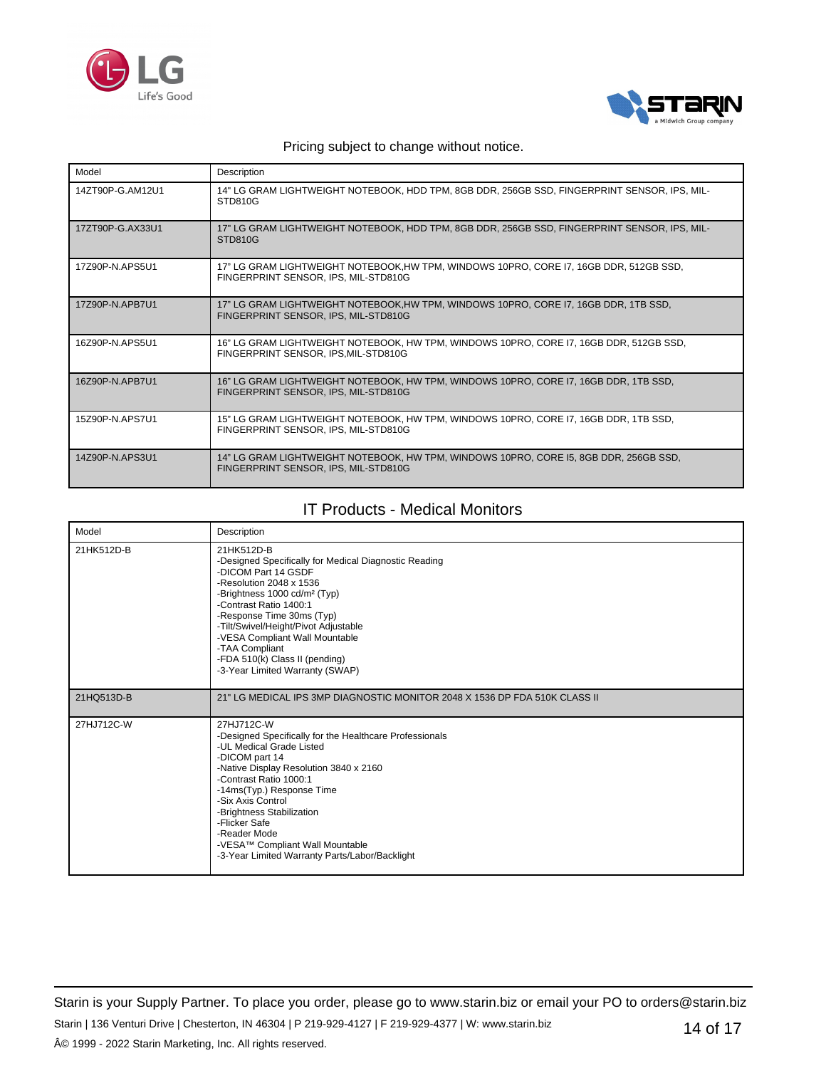



| Model            | Description                                                                                                                    |
|------------------|--------------------------------------------------------------------------------------------------------------------------------|
| 14ZT90P-G.AM12U1 | 14" LG GRAM LIGHTWEIGHT NOTEBOOK, HDD TPM, 8GB DDR, 256GB SSD, FINGERPRINT SENSOR, IPS, MIL-<br>STD810G                        |
| 17ZT90P-G.AX33U1 | 17" LG GRAM LIGHTWEIGHT NOTEBOOK, HDD TPM, 8GB DDR, 256GB SSD, FINGERPRINT SENSOR, IPS, MIL-<br>STD810G                        |
| 17Z90P-N.APS5U1  | 17" LG GRAM LIGHTWEIGHT NOTEBOOK,HW TPM, WINDOWS 10PRO, CORE 17, 16GB DDR, 512GB SSD,<br>FINGERPRINT SENSOR, IPS, MIL-STD810G  |
| 17Z90P-N.APB7U1  | 17" LG GRAM LIGHTWEIGHT NOTEBOOK,HW TPM, WINDOWS 10PRO, CORE I7, 16GB DDR, 1TB SSD,<br>FINGERPRINT SENSOR, IPS, MIL-STD810G    |
| 16Z90P-N.APS5U1  | 16" LG GRAM LIGHTWEIGHT NOTEBOOK, HW TPM, WINDOWS 10PRO, CORE 17, 16GB DDR, 512GB SSD,<br>FINGERPRINT SENSOR, IPS, MIL-STD810G |
| 16Z90P-N.APB7U1  | 16" LG GRAM LIGHTWEIGHT NOTEBOOK, HW TPM, WINDOWS 10PRO, CORE I7, 16GB DDR, 1TB SSD,<br>FINGERPRINT SENSOR, IPS, MIL-STD810G   |
| 15Z90P-N.APS7U1  | 15" LG GRAM LIGHTWEIGHT NOTEBOOK, HW TPM, WINDOWS 10PRO, CORE I7, 16GB DDR, 1TB SSD,<br>FINGERPRINT SENSOR, IPS, MIL-STD810G   |
| 14Z90P-N.APS3U1  | 14" LG GRAM LIGHTWEIGHT NOTEBOOK, HW TPM, WINDOWS 10PRO, CORE 15, 8GB DDR, 256GB SSD,<br>FINGERPRINT SENSOR. IPS. MIL-STD810G  |

## IT Products - Medical Monitors

| Model      | Description                                                                                                                                                                                                                                                                                                                                                                                  |
|------------|----------------------------------------------------------------------------------------------------------------------------------------------------------------------------------------------------------------------------------------------------------------------------------------------------------------------------------------------------------------------------------------------|
| 21HK512D-B | 21HK512D-B<br>-Designed Specifically for Medical Diagnostic Reading<br>-DICOM Part 14 GSDF<br>-Resolution 2048 x 1536<br>-Brightness 1000 cd/m <sup>2</sup> (Typ)<br>-Contrast Ratio 1400:1<br>-Response Time 30ms (Typ)<br>-Tilt/Swivel/Height/Pivot Adjustable<br>-VESA Compliant Wall Mountable<br>-TAA Compliant<br>-FDA 510(k) Class II (pending)<br>-3-Year Limited Warranty (SWAP)    |
| 21HQ513D-B | 21" LG MEDICAL IPS 3MP DIAGNOSTIC MONITOR 2048 X 1536 DP FDA 510K CLASS II                                                                                                                                                                                                                                                                                                                   |
| 27HJ712C-W | 27HJ712C-W<br>-Designed Specifically for the Healthcare Professionals<br>-UL Medical Grade Listed<br>-DICOM part 14<br>-Native Display Resolution 3840 x 2160<br>-Contrast Ratio 1000:1<br>-14ms(Typ.) Response Time<br>-Six Axis Control<br>-Brightness Stabilization<br>-Flicker Safe<br>-Reader Mode<br>-VESA™ Compliant Wall Mountable<br>-3-Year Limited Warranty Parts/Labor/Backlight |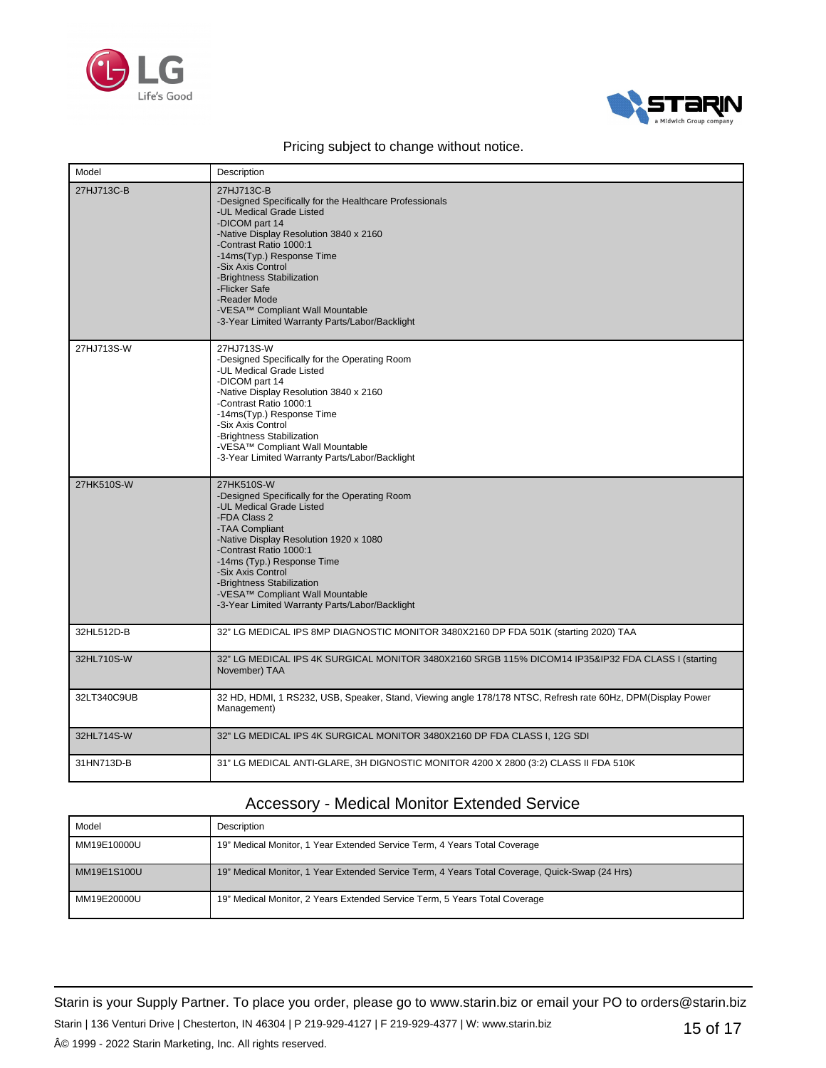



| Model       | Description                                                                                                                                                                                                                                                                                                                                                                                  |
|-------------|----------------------------------------------------------------------------------------------------------------------------------------------------------------------------------------------------------------------------------------------------------------------------------------------------------------------------------------------------------------------------------------------|
| 27HJ713C-B  | 27HJ713C-B<br>-Designed Specifically for the Healthcare Professionals<br>-UL Medical Grade Listed<br>-DICOM part 14<br>-Native Display Resolution 3840 x 2160<br>-Contrast Ratio 1000:1<br>-14ms(Typ.) Response Time<br>-Six Axis Control<br>-Brightness Stabilization<br>-Flicker Safe<br>-Reader Mode<br>-VESA™ Compliant Wall Mountable<br>-3-Year Limited Warranty Parts/Labor/Backlight |
| 27HJ713S-W  | 27HJ713S-W<br>-Designed Specifically for the Operating Room<br>-UL Medical Grade Listed<br>-DICOM part 14<br>-Native Display Resolution 3840 x 2160<br>-Contrast Ratio 1000:1<br>-14ms(Typ.) Response Time<br>-Six Axis Control<br>-Brightness Stabilization<br>-VESA™ Compliant Wall Mountable<br>-3-Year Limited Warranty Parts/Labor/Backlight                                            |
| 27HK510S-W  | 27HK510S-W<br>-Designed Specifically for the Operating Room<br>-UL Medical Grade Listed<br>-FDA Class 2<br>-TAA Compliant<br>-Native Display Resolution 1920 x 1080<br>-Contrast Ratio 1000:1<br>-14ms (Typ.) Response Time<br>-Six Axis Control<br>-Brightness Stabilization<br>-VESA™ Compliant Wall Mountable<br>-3-Year Limited Warranty Parts/Labor/Backlight                           |
| 32HL512D-B  | 32" LG MEDICAL IPS 8MP DIAGNOSTIC MONITOR 3480X2160 DP FDA 501K (starting 2020) TAA                                                                                                                                                                                                                                                                                                          |
| 32HL710S-W  | 32" LG MEDICAL IPS 4K SURGICAL MONITOR 3480X2160 SRGB 115% DICOM14 IP35&IP32 FDA CLASS I (starting<br>November) TAA                                                                                                                                                                                                                                                                          |
| 32LT340C9UB | 32 HD, HDMI, 1 RS232, USB, Speaker, Stand, Viewing angle 178/178 NTSC, Refresh rate 60Hz, DPM(Display Power<br>Management)                                                                                                                                                                                                                                                                   |
| 32HL714S-W  | 32" LG MEDICAL IPS 4K SURGICAL MONITOR 3480X2160 DP FDA CLASS I, 12G SDI                                                                                                                                                                                                                                                                                                                     |
| 31HN713D-B  | 31" LG MEDICAL ANTI-GLARE, 3H DIGNOSTIC MONITOR 4200 X 2800 (3:2) CLASS II FDA 510K                                                                                                                                                                                                                                                                                                          |

## Accessory - Medical Monitor Extended Service

| Model       | Description                                                                                    |
|-------------|------------------------------------------------------------------------------------------------|
| MM19E10000U | 19" Medical Monitor, 1 Year Extended Service Term, 4 Years Total Coverage                      |
| MM19E1S100U | 19" Medical Monitor, 1 Year Extended Service Term, 4 Years Total Coverage, Quick-Swap (24 Hrs) |
| MM19E20000U | 19" Medical Monitor, 2 Years Extended Service Term, 5 Years Total Coverage                     |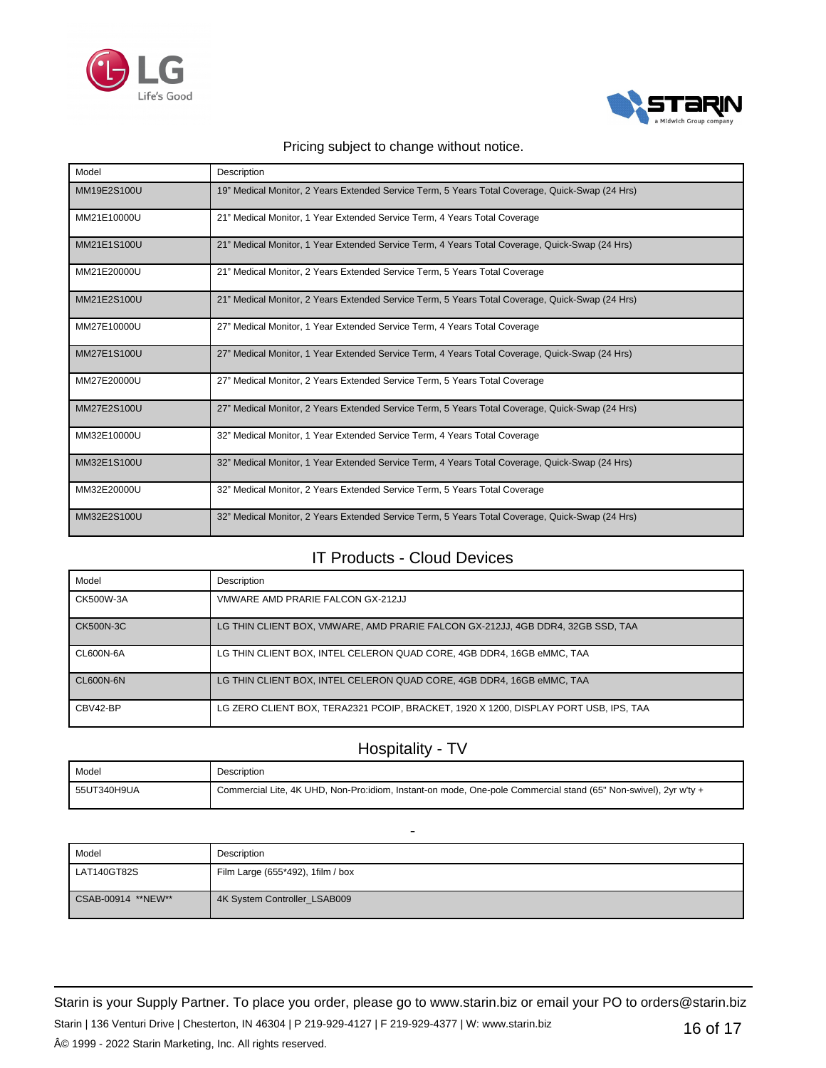



| Model       | Description                                                                                     |
|-------------|-------------------------------------------------------------------------------------------------|
| MM19E2S100U | 19" Medical Monitor, 2 Years Extended Service Term, 5 Years Total Coverage, Quick-Swap (24 Hrs) |
| MM21E10000U | 21" Medical Monitor, 1 Year Extended Service Term, 4 Years Total Coverage                       |
| MM21E1S100U | 21" Medical Monitor, 1 Year Extended Service Term, 4 Years Total Coverage, Quick-Swap (24 Hrs)  |
| MM21E20000U | 21" Medical Monitor, 2 Years Extended Service Term, 5 Years Total Coverage                      |
| MM21E2S100U | 21" Medical Monitor, 2 Years Extended Service Term, 5 Years Total Coverage, Quick-Swap (24 Hrs) |
| MM27E10000U | 27" Medical Monitor, 1 Year Extended Service Term, 4 Years Total Coverage                       |
| MM27E1S100U | 27" Medical Monitor, 1 Year Extended Service Term, 4 Years Total Coverage, Quick-Swap (24 Hrs)  |
| MM27E20000U | 27" Medical Monitor, 2 Years Extended Service Term, 5 Years Total Coverage                      |
| MM27E2S100U | 27" Medical Monitor, 2 Years Extended Service Term, 5 Years Total Coverage, Quick-Swap (24 Hrs) |
| MM32E10000U | 32" Medical Monitor, 1 Year Extended Service Term, 4 Years Total Coverage                       |
| MM32E1S100U | 32" Medical Monitor, 1 Year Extended Service Term, 4 Years Total Coverage, Quick-Swap (24 Hrs)  |
| MM32E20000U | 32" Medical Monitor, 2 Years Extended Service Term, 5 Years Total Coverage                      |
| MM32E2S100U | 32" Medical Monitor, 2 Years Extended Service Term, 5 Years Total Coverage, Quick-Swap (24 Hrs) |

## IT Products - Cloud Devices

| Model            | Description                                                                          |
|------------------|--------------------------------------------------------------------------------------|
| CK500W-3A        | VMWARE AMD PRARIE FALCON GX-212JJ                                                    |
| CK500N-3C        | LG THIN CLIENT BOX, VMWARE, AMD PRARIE FALCON GX-212JJ, 4GB DDR4, 32GB SSD, TAA      |
| <b>CL600N-6A</b> | LG THIN CLIENT BOX, INTEL CELERON QUAD CORE, 4GB DDR4, 16GB eMMC, TAA                |
| CL600N-6N        | LG THIN CLIENT BOX, INTEL CELERON QUAD CORE, 4GB DDR4, 16GB eMMC, TAA                |
| CBV42-BP         | LG ZERO CLIENT BOX, TERA2321 PCOIP, BRACKET, 1920 X 1200, DISPLAY PORT USB, IPS, TAA |

## Hospitality - TV

| Model       | Description                                                                                                     |
|-------------|-----------------------------------------------------------------------------------------------------------------|
| 55UT340H9UA | Commercial Lite, 4K UHD, Non-Pro:idiom, Instant-on mode, One-pole Commercial stand (65" Non-swivel), 2yr w'ty + |

|                     | $\overline{\phantom{a}}$          |
|---------------------|-----------------------------------|
| Model               | Description                       |
| LAT140GT82S         | Film Large (655*492), 1film / box |
| CSAB-00914 ** NEW** | 4K System Controller_LSAB009      |